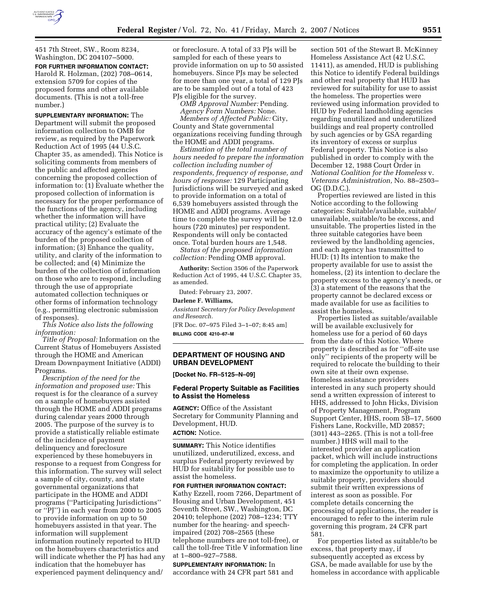

451 7th Street, SW., Room 8234, Washington, DC 204107–5000. **FOR FURTHER INFORMATION CONTACT:**  Harold R. Holzman, (202) 708–0614, extension 5709 for copies of the proposed forms and other available documents. (This is not a toll-free number.)

**SUPPLEMENTARY INFORMATION:** The Department will submit the proposed information collection to OMB for review, as required by the Paperwork Reduction Act of 1995 (44 U.S.C. Chapter 35, as amended). This Notice is soliciting comments from members of the public and affected agencies concerning the proposed collection of information to: (1) Evaluate whether the proposed collection of information is necessary for the proper performance of the functions of the agency, including whether the information will have practical utility; (2) Evaluate the accuracy of the agency's estimate of the burden of the proposed collection of information; (3) Enhance the quality, utility, and clarity of the information to be collected; and (4) Minimize the burden of the collection of information on those who are to respond, including through the use of appropriate automated collection techniques or other forms of information technology (e.g., permitting electronic submission of responses).

*This Notice also lists the following information:* 

*Title of Proposal:* Information on the Current Status of Homebuyers Assisted through the HOME and American Dream Downpayment Initiative (ADDI) Programs.

*Description of the need for the information and proposed use:* This request is for the clearance of a survey on a sample of homebuyers assisted through the HOME and ADDI programs during calendar years 2000 through 2005. The purpose of the survey is to provide a statistically reliable estimate of the incidence of payment delinquency and foreclosure experienced by these homebuyers in response to a request from Congress for this information. The survey will select a sample of city, county, and state governmental organizations that participate in the HOME and ADDI programs (''Participating Jurisdictions'' or ''PJ'') in each year from 2000 to 2005 to provide information on up to 50 homebuyers assisted in that year. The information will supplement information routinely reported to HUD on the homebuyers characteristics and will indicate whether the PJ has had any indication that the homebuyer has experienced payment delinquency and/

or foreclosure. A total of 33 PJs will be sampled for each of these years to provide information on up to 50 assisted homebuyers. Since PJs may be selected for more than one year, a total of 129 PJs are to be sampled out of a total of 423 PJs eligible for the survey.

*OMB Approval Number:* Pending. *Agency Form Numbers:* None.

*Members of Affected Public:* City, County and State governmental organizations receiving funding through the HOME and ADDI programs.

*Estimation of the total number of hours needed to prepare the information collection including number of respondents, frequency of response, and hours of response:* 129 Participating Jurisdictions will be surveyed and asked to provide information on a total of 6,539 homebuyers assisted through the HOME and ADDI programs. Average time to complete the survey will be 12.0 hours (720 minutes) per respondent. Respondents will only be contacted once. Total burden hours are 1,548.

*Status of the proposed information collection:* Pending OMB approval.

**Authority:** Section 3506 of the Paperwork Reduction Act of 1995, 44 U.S.C. Chapter 35, as amended.

Dated: February 23, 2007.

#### **Darlene F. Williams,**

*Assistant Secretary for Policy Development and Research.* 

[FR Doc. 07–975 Filed 3–1–07; 8:45 am] **BILLING CODE 4210–67–M** 

## **DEPARTMENT OF HOUSING AND URBAN DEVELOPMENT**

**[Docket No. FR–5125–N–09]** 

## **Federal Property Suitable as Facilities to Assist the Homeless**

**AGENCY:** Office of the Assistant Secretary for Community Planning and Development, HUD. **ACTION:** Notice.

**SUMMARY:** This Notice identifies unutilized, underutilized, excess, and surplus Federal property reviewed by HUD for suitability for possible use to assist the homeless.

**FOR FURTHER INFORMATION CONTACT:**  Kathy Ezzell, room 7266, Department of Housing and Urban Development, 451 Seventh Street, SW., Washington, DC 20410; telephone (202) 708–1234; TTY number for the hearing- and speechimpaired (202) 708–2565 (these telephone numbers are not toll-free), or call the toll-free Title V information line at 1–800–927–7588.

**SUPPLEMENTARY INFORMATION:** In accordance with 24 CFR part 581 and

section 501 of the Stewart B. McKinney Homeless Assistance Act (42 U.S.C. 11411), as amended, HUD is publishing this Notice to identify Federal buildings and other real property that HUD has reviewed for suitability for use to assist the homeless. The properties were reviewed using information provided to HUD by Federal landholding agencies regarding unutilized and underutilized buildings and real property controlled by such agencies or by GSA regarding its inventory of excess or surplus Federal property. This Notice is also published in order to comply with the December 12, 1988 Court Order in *National Coalition for the Homeless* v. *Veterans Administration,* No. 88–2503– OG (D.D.C.).

Properties reviewed are listed in this Notice according to the following categories: Suitable/available, suitable/ unavailable, suitable/to be excess, and unsuitable. The properties listed in the three suitable categories have been reviewed by the landholding agencies, and each agency has transmitted to HUD: (1) Its intention to make the property available for use to assist the homeless, (2) its intention to declare the property excess to the agency's needs, or (3) a statement of the reasons that the property cannot be declared excess or made available for use as facilities to assist the homeless.

Properties listed as suitable/available will be available exclusively for homeless use for a period of 60 days from the date of this Notice. Where property is described as for ''off-site use only'' recipients of the property will be required to relocate the building to their own site at their own expense. Homeless assistance providers interested in any such property should send a written expression of interest to HHS, addressed to John Hicks, Division of Property Management, Program Support Center, HHS, room 5B–17, 5600 Fishers Lane, Rockville, MD 20857; (301) 443–2265. (This is not a toll-free number.) HHS will mail to the interested provider an application packet, which will include instructions for completing the application. In order to maximize the opportunity to utilize a suitable property, providers should submit their written expressions of interest as soon as possible. For complete details concerning the processing of applications, the reader is encouraged to refer to the interim rule governing this program, 24 CFR part 581.

For properties listed as suitable/to be excess, that property may, if subsequently accepted as excess by GSA, be made available for use by the homeless in accordance with applicable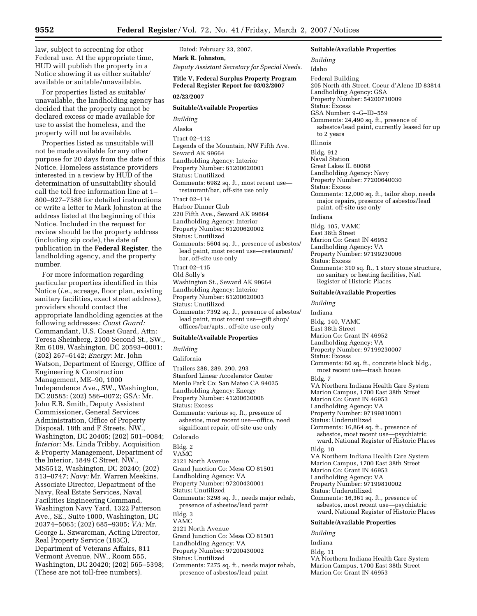law, subject to screening for other Federal use. At the appropriate time, HUD will publish the property in a Notice showing it as either suitable/ available or suitable/unavailable.

For properties listed as suitable/ unavailable, the landholding agency has decided that the property cannot be declared excess or made available for use to assist the homeless, and the property will not be available.

Properties listed as unsuitable will not be made available for any other purpose for 20 days from the date of this Notice. Homeless assistance providers interested in a review by HUD of the determination of unsuitability should call the toll free information line at 1– 800–927–7588 for detailed instructions or write a letter to Mark Johnston at the address listed at the beginning of this Notice. Included in the request for review should be the property address (including zip code), the date of publication in the **Federal Register**, the landholding agency, and the property number.

For more information regarding particular properties identified in this Notice (*i.e.*, acreage, floor plan, existing sanitary facilities, exact street address), providers should contact the appropriate landholding agencies at the following addresses: *Coast Guard:*  Commandant, U.S. Coast Guard, Attn: Teresa Sheinberg, 2100 Second St., SW., Rm 6109, Washington, DC 20593–0001; (202) 267–6142; *Energy:* Mr. John Watson, Department of Energy, Office of Engineering & Construction Management, ME–90, 1000 Independence Ave., SW., Washington, DC 20585: (202) 586–0072; GSA: Mr. John E.B. Smith, Deputy Assistant Commissioner, General Services Administration, Office of Property Disposal, 18th and F Streets, NW., Washington, DC 20405; (202) 501–0084; *Interior:* Ms. Linda Tribby, Acquisition & Property Management, Department of the Interior, 1849 C Street, NW., MS5512, Washington, DC 20240; (202) 513–0747; *Navy:* Mr. Warren Meekins, Associate Director, Department of the Navy, Real Estate Services, Naval Facilities Engineering Command, Washington Navy Yard, 1322 Patterson Ave., SE., Suite 1000, Washington, DC 20374–5065; (202) 685–9305; *VA:* Mr. George L. Szwarcman, Acting Director, Real Property Service (183C), Department of Veterans Affairs, 811 Vermont Avenue, NW., Room 555, Washington, DC 20420; (202) 565–5398; (These are not toll-free numbers).

Dated: February 23, 2007. **Mark R. Johnston,** 

*Deputy Assistant Secretary for Special Needs.* 

## **Title V, Federal Surplus Property Program Federal Register Report for 03/02/2007**

**02/23/2007** 

#### **Suitable/Available Properties**

*Building*  Alaska Tract 02–112 Legends of the Mountain, NW Fifth Ave. Seward AK 99664 Landholding Agency: Interior Property Number: 61200620001 Status: Unutilized Comments: 6982 sq. ft., most recent use restaurant/bar, off-site use only Tract 02–114 Harbor Dinner Club 220 Fifth Ave., Seward AK 99664 Landholding Agency: Interior Property Number: 61200620002 Status: Unutilized Comments: 5604 sq. ft., presence of asbestos/ lead paint, most recent use—restaurant/ bar, off-site use only Tract 02–115 Old Solly's Washington St., Seward AK 99664 Landholding Agency: Interior Property Number: 61200620003 Status: Unutilized

Comments: 7392 sq. ft., presence of asbestos/ lead paint, most recent use—gift shop/ offices/bar/apts., off-site use only

#### **Suitable/Available Properties**

*Building* 

California

- Trailers 288, 289, 290, 293
- Stanford Linear Accelerator Center
- Menlo Park Co: San Mateo CA 94025
- Landholding Agency: Energy
- Property Number: 41200630006

Status: Excess

Comments: various sq. ft., presence of asbestos, most recent use—office, need significant repair, off-site use only

## Colorado

Bldg. 2

VAMC

- 2121 North Avenue
- Grand Junction Co: Mesa CO 81501

Landholding Agency: VA

- Property Number: 97200430001
- Status: Unutilized

Comments: 3298 sq. ft., needs major rehab, presence of asbestos/lead paint

- Bldg. 3
- VAMC
- 2121 North Avenue
- Grand Junction Co: Mesa CO 81501
- Landholding Agency: VA
- Property Number: 97200430002
- Status: Unutilized
- Comments: 7275 sq. ft., needs major rehab, presence of asbestos/lead paint

205 North 4th Street, Coeur d'Alene ID 83814 Landholding Agency: GSA Property Number: 54200710009 Status: Excess GSA Number: 9–G–ID–559 Comments: 24,490 sq. ft., presence of asbestos/lead paint, currently leased for up to 2 years Illinois Bldg. 912 Naval Station Great Lakes IL 60088 Landholding Agency: Navy Property Number: 77200640030 Status: Excess Comments: 12,000 sq. ft., tailor shop, needs major repairs, presence of asbestos/lead paint, off-site use only Indiana Bldg. 105, VAMC

East 38th Street

- Marion Co: Grant IN 46952
- Landholding Agency: VA

**Suitable/Available Properties** 

*Building*  Idaho

Federal Building

Property Number: 97199230006

Status: Excess Comments: 310 sq. ft., 1 story stone structure,

no sanitary or heating facilities, Natl Register of Historic Places

#### **Suitable/Available Properties**

*Building* 

Indiana Bldg. 140, VAMC East 38th Street

Marion Co: Grant IN 46952 Landholding Agency: VA Property Number: 97199230007 Status: Excess Comments: 60 sq. ft., concrete block bldg., most recent use—trash house Bldg. 7 VA Northern Indiana Health Care System Marion Campus, 1700 East 38th Street Marion Co: Grant IN 46953 Landholding Agency: VA Property Number: 97199810001 Status: Underutilized Comments: 16,864 sq. ft., presence of asbestos, most recent use—psychiatric ward, National Register of Historic Places Bldg. 10 VA Northern Indiana Health Care System Marion Campus, 1700 East 38th Street Marion Co: Grant IN 46953 Landholding Agency: VA Property Number: 97199810002 Status: Underutilized Comments: 16,361 sq. ft., presence of asbestos, most recent use—psychiatric ward, National Register of Historic Places **Suitable/Available Properties** 

- *Building*
- Indiana

Bldg. 11

VA Northern Indiana Health Care System Marion Campus, 1700 East 38th Street Marion Co: Grant IN 46953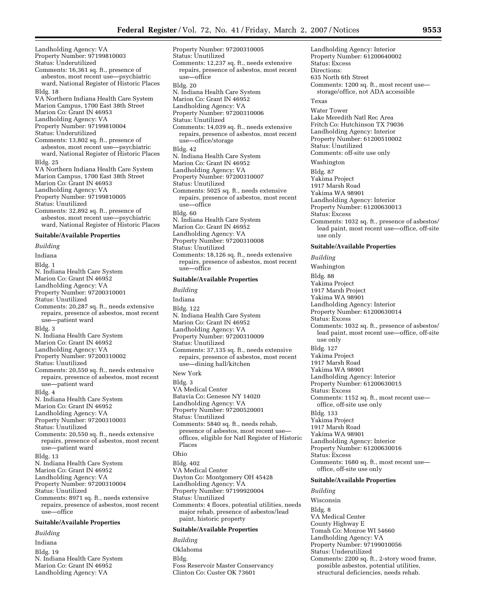Landholding Agency: VA Property Number: 97199810003 Status: Underutilized Comments: 16,361 sq. ft., presence of asbestos, most recent use—psychiatric ward, National Register of Historic Places Bldg. 18 VA Northern Indiana Health Care System Marion Campus, 1700 East 38th Street Marion Co: Grant IN 46953 Landholding Agency: VA Property Number: 97199810004 Status: Underutilized Comments: 13,802 sq. ft., presence of asbestos, most recent use—psychiatric ward, National Register of Historic Places Bldg. 25 VA Northern Indiana Health Care System Marion Campus, 1700 East 38th Street Marion Co: Grant IN 46953 Landholding Agency: VA Property Number: 97199810005 Status: Unutilized Comments: 32,892 sq. ft., presence of asbestos, most recent use—psychiatric ward, National Register of Historic Places **Suitable/Available Properties**  *Building*  Indiana Bldg. 1 N. Indiana Health Care System Marion Co: Grant IN 46952 Landholding Agency: VA Property Number: 97200310001 Status: Unutilized Comments: 20,287 sq. ft., needs extensive repairs, presence of asbestos, most recent use—patient ward Bldg. 3 N. Indiana Health Care System Marion Co: Grant IN 46952 Landholding Agency: VA Property Number: 97200310002 Status: Unutilized Comments: 20,550 sq. ft., needs extensive repairs, presence of asbestos, most recent use—patient ward Bldg. 4 N. Indiana Health Care System Marion Co: Grant IN 46952 Landholding Agency: VA Property Number: 97200310003 Status: Unutilized Comments: 20,550 sq. ft., needs extensive repairs, presence of asbestos, most recent use—patient ward Bldg. 13 N. Indiana Health Care System Marion Co: Grant IN 46952 Landholding Agency: VA Property Number: 97200310004 Status: Unutilized Comments: 8971 sq. ft., needs extensive repairs, presence of asbestos, most recent use—office **Suitable/Available Properties**  *Building* 

## Indiana Bldg. 19 N. Indiana Health Care System Marion Co: Grant IN 46952 Landholding Agency: VA

Property Number: 97200310005 Status: Unutilized Comments: 12,237 sq. ft., needs extensive repairs, presence of asbestos, most recent use—office Bldg. 20 N. Indiana Health Care System Marion Co: Grant IN 46952 Landholding Agency: VA Property Number: 97200310006 Status: Unutilized Comments: 14,039 sq. ft., needs extensive repairs, presence of asbestos, most recent use—office/storage Bldg. 42 N. Indiana Health Care System Marion Co: Grant IN 46952 Landholding Agency: VA Property Number: 97200310007 Status: Unutilized Comments: 5025 sq. ft., needs extensive repairs, presence of asbestos, most recent use—office Bldg. 60 N. Indiana Health Care System Marion Co: Grant IN 46952 Landholding Agency: VA Property Number: 97200310008 Status: Unutilized Comments: 18,126 sq. ft., needs extensive repairs, presence of asbestos, most recent use—office

#### **Suitable/Available Properties**

*Building*  Indiana Bldg. 122 N. Indiana Health Care System Marion Co: Grant IN 46952 Landholding Agency: VA Property Number: 97200310009 Status: Unutilized Comments: 37,135 sq. ft., needs extensive repairs, presence of asbestos, most recent use—dining hall/kitchen New York Bldg. 3 VA Medical Center Batavia Co: Genesee NY 14020 Landholding Agency: VA Property Number: 97200520001 Status: Unutilized Comments: 5840 sq. ft., needs rehab, presence of asbestos, most recent use offices, eligible for Natl Register of Historic Places Ohio Bldg. 402 VA Medical Center Dayton Co: Montgomery OH 45428 Landholding Agency: VA Property Number: 97199920004 Status: Unutilized Comments: 4 floors, potential utilities, needs major rehab, presence of asbestos/lead paint, historic property

### **Suitable/Available Properties**

*Building* 

Oklahoma

Bldg.

Foss Reservoir Master Conservancy Clinton Co: Custer OK 73601

Landholding Agency: Interior Property Number: 61200640002 Status: Excess Directions: 635 North 6th Street Comments: 1200 sq. ft., most recent use storage/office, not ADA accessible Texas Water Tower Lake Meredith Natl Rec Area Fritch Co: Hutchinson TX 79036 Landholding Agency: Interior Property Number: 61200510002 Status: Unutilized Comments: off-site use only Washington Bldg. 87 Yakima Project 1917 Marsh Road Yakima WA 98901 Landholding Agency: Interior Property Number: 61200630013 Status: Excess Comments: 1032 sq. ft., presence of asbestos/ lead paint, most recent use—office, off-site use only **Suitable/Available Properties**  *Building*  Washington Bldg. 88 Yakima Project 1917 Marsh Project Yakima WA 98901 Landholding Agency: Interior Property Number: 61200630014 Status: Excess Comments: 1032 sq. ft., presence of asbestos/ lead paint, most recent use—office, off-site use only Bldg. 127 Yakima Project

1917 Marsh Road Yakima WA 98901

Landholding Agency: Interior

Property Number: 61200630015

Status: Excess Comments: 1152 sq. ft., most recent use office, off-site use only

Bldg. 133 Yakima Project 1917 Marsh Road Yakima WA 98901 Landholding Agency: Interior Property Number: 61200630016 Status: Excess Comments: 1680 sq. ft., most recent use—

# office, off-site use only

### **Suitable/Available Properties**

*Building* 

Wisconsin Bldg. 8 VA Medical Center

County Highway E

Tomah Co: Monroe WI 54660

Landholding Agency: VA

- Property Number: 97199010056
- Status: Underutilized
- Comments: 2200 sq. ft., 2-story wood frame, possible asbestos, potential utilities, structural deficiencies, needs rehab.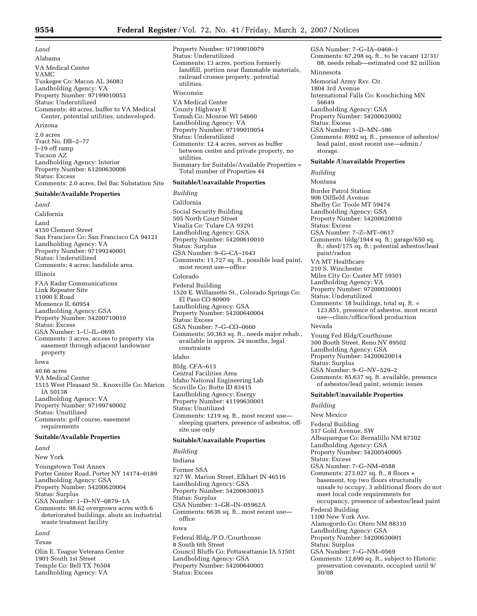*Land*  Alabama VA Medical Center VAMC Tuskegee Co: Macon AL 36083 Landholding Agency: VA Property Number: 97199010053 Status: Underutilized Comments: 40 acres, buffer to VA Medical Center, potential utilities, undeveloped. Arizona 2.0 acres Tract No. DB–2–77 I–19 off ramp Tucson AZ Landholding Agency: Interior Property Number: 61200630006 Status: Excess Comments: 2.0 acres, Del Bac Substation Site

## **Suitable/Available Properties**

*Land*  California Land 4150 Clement Street San Francisco Co: San Francisco CA 94121 Landholding Agency: VA Property Number: 97199240001 Status: Underutilized Comments: 4 acres; landslide area. Illinois FAA Radar Communications Link Repeater Site 11000 E Road Momence IL 60954 Landholding Agency: GSA Property Number: 54200710010 Status: Excess GSA Number: 1–U–IL–0695 Comments: 3 acres, access to property via easement through adjacent landowner property Iowa 40.66 acres VA Medical Center 1515 West Pleasant St., Knoxville Co: Marion IA 50138

Landholding Agency: VA Property Number: 97199740002 Status: Unutilized Comments: golf course, easement requirements

## **Suitable/Available Properties**

*Land* 

New York Youngstown Test Annex Porter Center Road, Porter NY 14174–0189 Landholding Agency: GSA Property Number: 54200620004 Status: Surplus GSA Number: 1–D–NY–0879–1A Comments: 98.62 overgrown acres with 6 deteriorated buildings, abuts an industrial waste treatment facility *Land* 

# Texas

Olin E. Teague Veterans Center 1901 South 1st Street Temple Co: Bell TX 76504 Landholding Agency: VA

Property Number: 97199010079 Status: Underutilized Comments: 13 acres, portion formerly landfill, portion near flammable materials, railroad crosses property, potential utilities. Wisconsin VA Medical Center County Highway E Tomah Co: Monroe WI 54660 Landholding Agency: VA Property Number: 97199010054 Status: Underutilized Comments: 12.4 acres, serves as buffer between center and private property, no utilities. Summary for Suitable/Available Properties = Total number of Properties 44 **Suitable/Unavailable Properties**  *Building*  California Social Security Building 505 North Court Street Visalia Co: Tulare CA 93291 Landholding Agency: GSA Property Number: 54200610010 Status: Surplus GSA Number: 9–G–CA–1643 Comments: 11,727 sq. ft., possible lead paint, most recent use—office Colorado Federal Building 1520 E. Willamette St., Colorado Springs Co: El Paso CO 80909 Landholding Agency: GSA Property Number: 54200640004 Status: Excess GSA Number: 7–G–CO–0660 Comments: 50,363 sq. ft., needs major rehab., available in approx. 24 months, legal constraints Idaho Bldg. CFA–613 Central Facilities Area

Idaho National Engineering Lab Scoville Co: Butte ID 83415 Landholding Agency: Energy Property Number: 41199630001 Status: Unutilized Comments: 1219 sq. ft., most recent use sleeping quarters, presence of asbestos, offsite use only

## **Suitable/Unavailable Properties**

*Building*  Indiana

Former SSA 327 W. Marion Street, Elkhart IN 46516 Landholding Agency: GSA Property Number: 54200630015 Status: Surplus GSA Number: 1–GR–IN–05962A Comments: 6636 sq. ft., most recent use office Iowa Federal Bldg./P.O./Courthouse 8 South 6th Street Council Bluffs Co: Pottawattamie IA 51501 Landholding Agency: GSA Property Number: 54200640001 Status: Excess

GSA Number: 7–G–IA–0468–1 Comments: 67,298 sq. ft., to be vacant 12/31/ 08, needs rehab—estimated cost \$2 million Minnesota Memorial Army Rsv. Ctr. 1804 3rd Avenue International Falls Co: Koochiching MN 56649 Landholding Agency: GSA Property Number: 54200620002 Status: Excess GSA Number: 1–D–MN–586 Comments: 8992 sq. ft., presence of asbestos/ lead paint, most recent use—admin./ storage. **Suitable /Unavailable Properties**  *Building*  Montana Border Patrol Station 906 Oilfield Avenue Shelby Co: Toole MT 59474 Landholding Agency: GSA Property Number: 54200620010 Status: Excess GSA Number: 7–Z–MT–0617 Comments: bldg/1944 sq. ft.; garage/650 sq. ft.; shed/175 sq. ft.; potential asbestos/lead paint/radon VA MT Healthcare 210 S. Winchester Miles City Co: Custer MT 59301 Landholding Agency: VA Property Number: 97200030001 Status: Underutilized Comments: 18 buildings, total sq. ft. = 123,851, presence of asbestos, most recent use—clinic/office/food production Nevada Young Fed Bldg/Courthouse 300 Booth Street, Reno NV 89502 Landholding Agency: GSA Property Number: 54200620014 Status: Surplus GSA Number: 9–G–NV–529–2 Comments: 85,637 sq. ft. available, presence of asbestos/lead paint, seismic issues **Suitable/Unavailable Properties**  *Building*  New Mexico Federal Building 517 Gold Avenue, SW Albuquerque Co: Bernalillo NM 87102 Landholding Agency: GSA Property Number: 54200540005 Status: Excess GSA Number: 7–G–NM–0588 Comments: 273,027 sq. ft., 8 floors + basement, top two floors structurally unsafe to occupy, 3 additional floors do not meet local code requirements for occupancy, presence of asbestos/lead paint

Federal Building

1100 New York Ave. Alamogordo Co: Otero NM 88310

Landholding Agency: GSA

Property Number: 54200630001

Status: Surplus

GSA Number: 7–G–NM–0569

Comments: 12,690 sq. ft., subject to Historic preservation covenants, occupied until 9/

30/08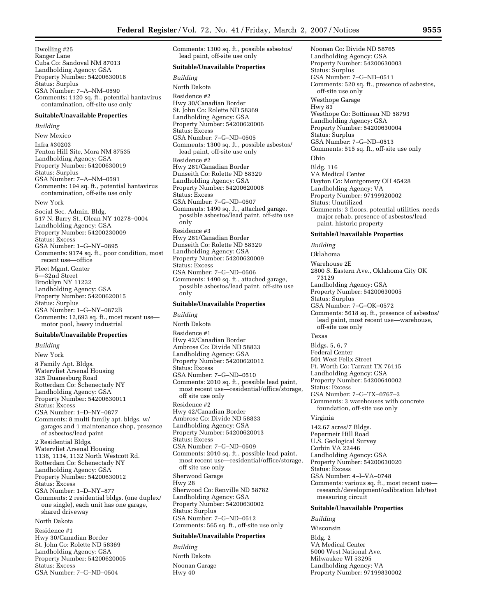Dwelling #25 Ranger Lane Cuba Co: Sandoval NM 87013 Landholding Agency: GSA Property Number: 54200630018 Status: Surplus GSA Number: 7–A–NM–0590 Comments: 1120 sq. ft., potential hantavirus contamination, off-site use only

#### **Suitable/Unavailable Properties**

#### *Building*

New Mexico Infra #30203 Fenton Hill Site, Mora NM 87535 Landholding Agency: GSA Property Number: 54200630019 Status: Surplus GSA Number: 7–A–NM–0591 Comments: 194 sq. ft., potential hantavirus contamination, off-site use only New York

Social Sec. Admin. Bldg. 517 N. Barry St., Olean NY 10278–0004 Landholding Agency: GSA Property Number: 54200230009 Status: Excess GSA Number: 1–G–NY–0895 Comments: 9174 sq. ft., poor condition, most recent use—office Fleet Mgmt. Center 5—32nd Street Brooklyn NY 11232 Landholding Agency: GSA Property Number: 54200620015 Status: Surplus GSA Number: 1–G–NY–0872B Comments: 12,693 sq. ft., most recent use motor pool, heavy industrial

### **Suitable/Unavailable Properties**

*Building*  New York 8 Family Apt. Bldgs. Watervliet Arsenal Housing 325 Duanesburg Road Rotterdam Co: Schenectady NY Landholding Agency: GSA Property Number: 54200630011 Status: Excess GSA Number: 1–D–NY–0877 Comments: 8 multi family apt. bldgs. w/ garages and 1 maintenance shop, presence of asbestos/lead paint 2 Residential Bldgs. Watervliet Arsenal Housing 1138, 1134, 1132 North Westcott Rd. Rotterdam Co: Schenectady NY Landholding Agency: GSA Property Number: 54200630012 Status: Excess GSA Number: 1–D–NY–877 Comments: 2 residential bldgs. (one duplex/ one single), each unit has one garage, shared driveway North Dakota Residence #1 Hwy 30/Canadian Border

St. John Co: Rolette ND 58369 Landholding Agency: GSA Property Number: 54200620005 Status: Excess GSA Number: 7–G–ND–0504

Comments: 1300 sq. ft., possible asbestos/ lead paint, off-site use only **Suitable/Unavailable Properties**  *Building*  North Dakota Residence #2 Hwy 30/Canadian Border St. John Co: Rolette ND 58369 Landholding Agency: GSA Property Number: 54200620006 Status: Excess GSA Number: 7–G–ND–0505 Comments: 1300 sq. ft., possible asbestos/ lead paint, off-site use only Residence #2 Hwy 281/Canadian Border Dunseith Co: Rolette ND 58329 Landholding Agency: GSA Property Number: 54200620008 Status: Excess GSA Number: 7–G–ND–0507 Comments: 1490 sq. ft., attached garage, possible asbestos/lead paint, off-site use only Residence #3 Hwy 281/Canadian Border Dunseith Co: Rolette ND 58329 Landholding Agency: GSA Property Number: 54200620009 Status: Excess GSA Number: 7–G–ND–0506 Comments: 1490 sq. ft., attached garage, possible asbestos/lead paint, off-site use only **Suitable/Unavailable Properties**  *Building*  North Dakota

Residence #1 Hwy 42/Canadian Border Ambrose Co: Divide ND 58833 Landholding Agency: GSA Property Number: 54200620012 Status: Excess GSA Number: 7–G–ND–0510 Comments: 2010 sq. ft., possible lead paint, most recent use—residential/office/storage, off site use only Residence #2 Hwy 42/Canadian Border Ambrose Co: Divide ND 58833 Landholding Agency: GSA Property Number: 54200620013 Status: Excess GSA Number: 7–G–ND–0509 Comments: 2010 sq. ft., possible lead paint, most recent use—residential/office/storage, off site use only Sherwood Garage Hwy 28 Sherwood Co: Renville ND 58782 Landholding Agency: GSA Property Number: 54200630002 Status: Surplus GSA Number: 7–G–ND–0512 Comments: 565 sq. ft., off-site use only

## **Suitable/Unavailable Properties**

*Building*  North Dakota Noonan Garage Hwy 40

Noonan Co: Divide ND 58765 Landholding Agency: GSA Property Number: 54200630003 Status: Surplus GSA Number: 7–G–ND–0511 Comments: 520 sq. ft., presence of asbestos, off-site use only Westhope Garage Hwy 83 Westhope Co: Bottineau ND 58793 Landholding Agency: GSA Property Number: 54200630004 Status: Surplus GSA Number: 7–G–ND–0513 Comments: 515 sq. ft., off-site use only Ohio Bldg. 116 VA Medical Center Dayton Co: Montgomery OH 45428 Landholding Agency: VA Property Number: 97199920002 Status: Unutilized Comments: 3 floors, potential utilities, needs major rehab, presence of asbestos/lead paint, historic property **Suitable/Unavailable Properties**  *Building*  Oklahoma Warehouse 2E 2800 S. Eastern Ave., Oklahoma City OK 73129 Landholding Agency: GSA Property Number: 54200630005 Status: Surplus GSA Number: 7–G–OK–0572 Comments: 5618 sq. ft., presence of asbestos/ lead paint, most recent use—warehouse, off-site use only Texas Bldgs. 5, 6, 7 Federal Center 501 West Felix Street Ft. Worth Co: Tarrant TX 76115 Landholding Agency: GSA Property Number: 54200640002

Status: Excess

GSA Number: 7–G–TX–0767–3 Comments: 3 warehouses with concrete foundation, off-site use only

Virginia

142.67 acres/7 Bldgs. Pepermeir Hill Road U.S. Geological Survey Corbin VA 22446 Landholding Agency: GSA Property Number: 54200630020 Status: Excess GSA Number: 4–I–VA–0748 Comments: various sq. ft., most recent use research/development/calibration lab/test measuring circuit

#### **Suitable/Unavailable Properties**

*Building*  Wisconsin Bldg. 2 VA Medical Center 5000 West National Ave. Milwaukee WI 53295 Landholding Agency: VA Property Number: 97199830002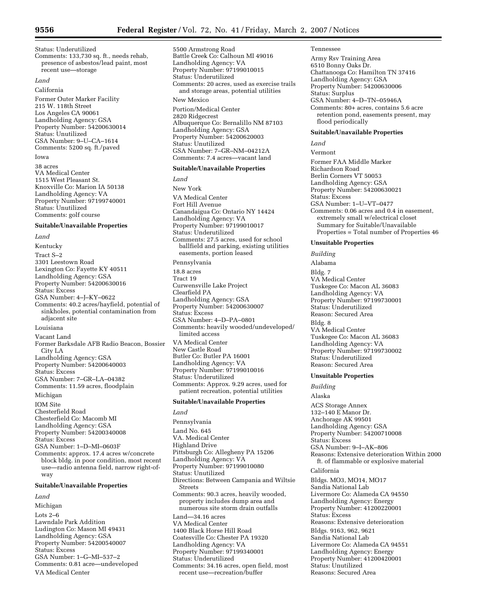Status: Underutilized

Comments: 133,730 sq. ft., needs rehab, presence of asbestos/lead paint, most recent use—storage

#### *Land*

California

Former Outer Marker Facility 215 W. 118th Street Los Angeles CA 90061 Landholding Agency: GSA Property Number: 54200630014 Status: Unutilized GSA Number: 9–U–CA–1614 Comments: 5200 sq. ft./paved

Iowa

38 acres VA Medical Center 1515 West Pleasant St. Knoxville Co: Marion IA 50138 Landholding Agency: VA Property Number: 97199740001 Status: Unutilized Comments: golf course

## **Suitable/Unavailable Properties**

*Land* 

Kentucky Tract S–2 3301 Leestown Road Lexington Co: Fayette KY 40511 Landholding Agency: GSA Property Number: 54200630016 Status: Excess GSA Number: 4–J–KY–0622 Comments: 40.2 acres/hayfield, potential of sinkholes, potential contamination from adjacent site Louisiana Vacant Land Former Barksdale AFB Radio Beacon, Bossier City LA Landholding Agency: GSA Property Number: 54200640003 Status: Excess GSA Number: 7–GR–LA–04382 Comments: 11.59 acres, floodplain Michigan IOM Site Chesterfield Road Chesterfield Co: Macomb MI Landholding Agency: GSA Property Number: 54200340008 Status: Excess GSA Number: 1–D–MI–0603F

Comments: approx. 17.4 acres w/concrete block bldg. in poor condition, most recent use—radio antenna field, narrow right-ofway

## **Suitable/Unavailable Properties**

*Land* 

Michigan Lots 2–6 Lawndale Park Addition Ludington Co: Mason MI 49431 Landholding Agency: GSA Property Number: 54200540007 Status: Excess GSA Number: 1–G–MI–537–2 Comments: 0.81 acre—undeveloped VA Medical Center

5500 Armstrong Road Battle Creek Co: Calhoun MI 49016 Landholding Agency: VA Property Number: 97199010015 Status: Underutilized Comments: 20 acres, used as exercise trails and storage areas, potential utilities New Mexico Portion/Medical Center 2820 Ridgecrest Albuquerque Co: Bernalillo NM 87103

Landholding Agency: GSA Property Number: 54200620003 Status: Unutilized GSA Number: 7–GR–NM–04212A Comments: 7.4 acres—vacant land

#### **Suitable/Unavailable Properties**

*Land*  New York VA Medical Center Fort Hill Avenue Canandaigua Co: Ontario NY 14424 Landholding Agency: VA Property Number: 97199010017 Status: Underutilized Comments: 27.5 acres, used for school ballfield and parking, existing utilities easements, portion leased Pennsylvania 18.8 acres Tract 19 Curwensville Lake Project Clearfield PA Landholding Agency: GSA Property Number: 54200630007 Status: Excess GSA Number: 4–D–PA–0801 Comments: heavily wooded/undeveloped/ limited access VA Medical Center New Castle Road Butler Co: Butler PA 16001 Landholding Agency: VA Property Number: 97199010016 Status: Underutilized Comments: Approx. 9.29 acres, used for patient recreation, potential utilities

## **Suitable/Unavailable Properties**

*Land* 

Pennsylvania Land No. 645 VA. Medical Center Highland Drive Pittsburgh Co: Allegheny PA 15206 Landholding Agency: VA Property Number: 97199010080 Status: Unutilized Directions: Between Campania and Wiltsie Streets Comments: 90.3 acres, heavily wooded, property includes dump area and numerous site storm drain outfalls  $L$ and $-34.16$  acres VA Medical Center 1400 Black Horse Hill Road Coatesville Co: Chester PA 19320 Landholding Agency: VA Property Number: 97199340001 Status: Underutilized Comments: 34.16 acres, open field, most recent use—recreation/buffer

#### Tennessee

Army Rsv Training Area 6510 Bonny Oaks Dr. Chattanooga Co: Hamilton TN 37416 Landholding Agency: GSA Property Number: 54200630006 Status: Surplus GSA Number: 4–D–TN–05946A Comments: 80+ acres, contains 5.6 acre retention pond, easements present, may flood periodically

## **Suitable/Unavailable Properties**

*Land* 

Vermont Former FAA Middle Marker Richardson Road Berlin Corners VT 50053 Landholding Agency: GSA Property Number: 54200630021 Status: Excess GSA Number: 1–U–VT–0477 Comments: 0.06 acres and 0.4 in easement, extremely small w/electrical closet Summary for Suitable/Unavailable Properties = Total number of Properties 46

## **Unsuitable Properties**

*Building*  Alabama Bldg. 7 VA Medical Center Tuskegee Co: Macon AL 36083 Landholding Agency: VA Property Number: 97199730001 Status: Underutilized Reason: Secured Area Bldg. 8 VA Medical Center Tuskegee Co: Macon AL 36083 Landholding Agency: VA Property Number: 97199730002 Status: Underutilized Reason: Secured Area

#### **Unsuitable Properties**

*Building*  Alaska ACS Storage Annex 132–140 E Manor Dr. Anchorage AK 99501 Landholding Agency: GSA Property Number: 54200710008 Status: Excess GSA Number: 9–I–AK–806 Reasons: Extensive deterioration Within 2000 ft. of flammable or explosive material California Bldgs. MO3, MO14, MO17 Sandia National Lab Livermore Co: Alameda CA 94550 Landholding Agency: Energy Property Number: 41200220001 Status: Excess Reasons: Extensive deterioration Bldgs. 9163, 962, 9621 Sandia National Lab Livermore Co: Alameda CA 94551 Landholding Agency: Energy Property Number: 41200420001 Status: Unutilized Reasons: Secured Area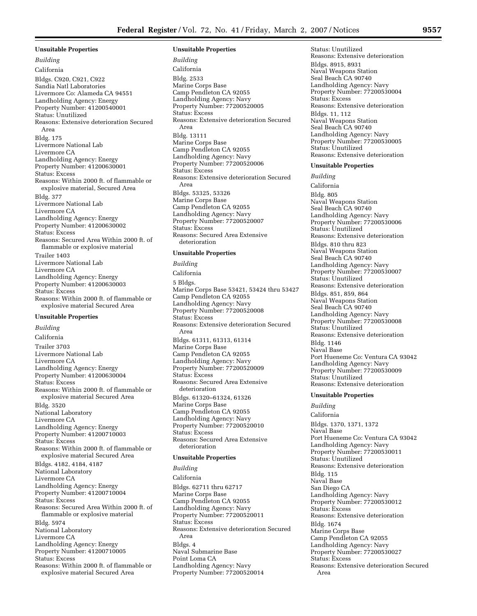**Unsuitable Properties**  *Building*  California Bldgs. C920, C921, C922 Sandia Natl Laboratories Livermore Co: Alameda CA 94551 Landholding Agency: Energy Property Number: 41200540001 Status: Unutilized Reasons: Extensive deterioration Secured Area Bldg. 175 Livermore National Lab Livermore CA Landholding Agency: Energy Property Number: 41200630001 Status: Excess Reasons: Within 2000 ft. of flammable or explosive material, Secured Area Bldg. 377 Livermore National Lab Livermore CA Landholding Agency: Energy Property Number: 41200630002 Status: Excess Reasons: Secured Area Within 2000 ft. of flammable or explosive material Trailer 1403 Livermore National Lab Livermore CA Landholding Agency: Energy Property Number: 41200630003 Status: Excess Reasons: Within 2000 ft. of flammable or explosive material Secured Area **Unsuitable Properties** 

*Building*  California Trailer 3703 Livermore National Lab Livermore CA Landholding Agency: Energy Property Number: 41200630004 Status: Excess Reasons: Within 2000 ft. of flammable or explosive material Secured Area Bldg. 3520 National Laboratory Livermore CA Landholding Agency: Energy Property Number: 41200710003 Status: Excess Reasons: Within 2000 ft. of flammable or explosive material Secured Area Bldgs. 4182, 4184, 4187 National Laboratory Livermore CA Landholding Agency: Energy Property Number: 41200710004 Status: Excess Reasons: Secured Area Within 2000 ft. of flammable or explosive material Bldg. 5974 National Laboratory Livermore CA Landholding Agency: Energy Property Number: 41200710005 Status: Excess Reasons: Within 2000 ft. of flammable or explosive material Secured Area

#### **Unsuitable Properties**

*Building*  California Bldg. 2533 Marine Corps Base Camp Pendleton CA 92055 Landholding Agency: Navy Property Number: 77200520005 Status: Excess Reasons: Extensive deterioration Secured Area Bldg. 13111 Marine Corps Base Camp Pendleton CA 92055 Landholding Agency: Navy Property Number: 77200520006 Status: Excess Reasons: Extensive deterioration Secured Area Bldgs. 53325, 53326 Marine Corps Base Camp Pendleton CA 92055 Landholding Agency: Navy Property Number: 77200520007 Status: Excess Reasons: Secured Area Extensive deterioration

## **Unsuitable Properties**

*Building*  California 5 Bldgs. Marine Corps Base 53421, 53424 thru 53427 Camp Pendleton CA 92055 Landholding Agency: Navy Property Number: 77200520008 Status: Excess Reasons: Extensive deterioration Secured Area Bldgs. 61311, 61313, 61314 Marine Corps Base Camp Pendleton CA 92055 Landholding Agency: Navy Property Number: 77200520009 Status: Excess Reasons: Secured Area Extensive deterioration Bldgs. 61320–61324, 61326 Marine Corps Base Camp Pendleton CA 92055 Landholding Agency: Navy Property Number: 77200520010 Status: Excess Reasons: Secured Area Extensive deterioration

## **Unsuitable Properties**

*Building*  California Bldgs. 62711 thru 62717 Marine Corps Base Camp Pendleton CA 92055 Landholding Agency: Navy Property Number: 77200520011 Status: Excess Reasons: Extensive deterioration Secured Area Bldgs. 4 Naval Submarine Base Point Loma CA Landholding Agency: Navy Property Number: 77200520014

Status: Unutilized Reasons: Extensive deterioration Bldgs. 8915, 8931 Naval Weapons Station Seal Beach CA 90740 Landholding Agency: Navy Property Number: 77200530004 Status: Excess Reasons: Extensive deterioration Bldgs. 11, 112 Naval Weapons Station Seal Beach CA 90740 Landholding Agency: Navy Property Number: 77200530005 Status: Unutilized Reasons: Extensive deterioration

## **Unsuitable Properties**

*Building* 

California Bldg. 805 Naval Weapons Station Seal Beach CA 90740 Landholding Agency: Navy Property Number: 77200530006 Status: Unutilized Reasons: Extensive deterioration Bldgs. 810 thru 823 Naval Weapons Station Seal Beach CA 90740 Landholding Agency: Navy Property Number: 77200530007 Status: Unutilized Reasons: Extensive deterioration Bldgs. 851, 859, 864 Naval Weapons Station Seal Beach CA 90740 Landholding Agency: Navy Property Number: 77200530008 Status: Unutilized Reasons: Extensive deterioration Bldg. 1146 Naval Base Port Hueneme Co: Ventura CA 93042 Landholding Agency: Navy Property Number: 77200530009 Status: Unutilized Reasons: Extensive deterioration

**Unsuitable Properties**  *Building*  California Bldgs. 1370, 1371, 1372 Naval Base Port Hueneme Co: Ventura CA 93042 Landholding Agency: Navy Property Number: 77200530011 Status: Unutilized Reasons: Extensive deterioration Bldg. 115 Naval Base San Diego CA Landholding Agency: Navy Property Number: 77200530012 Status: Excess Reasons: Extensive deterioration Bldg. 1674 Marine Corps Base Camp Pendleton CA 92055 Landholding Agency: Navy Property Number: 77200530027 Status: Excess Reasons: Extensive deterioration Secured Area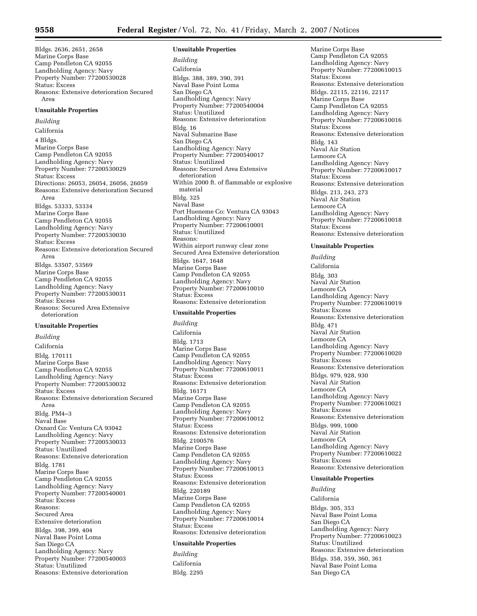Bldgs. 2636, 2651, 2658 Marine Corps Base Camp Pendleton CA 92055 Landholding Agency: Navy Property Number: 77200530028 Status: Excess Reasons: Extensive deterioration Secured Area

### **Unsuitable Properties**

*Building*  California 4 Bldgs. Marine Corps Base Camp Pendleton CA 92055 Landholding Agency: Navy Property Number: 77200530029 Status: Excess Directions: 26053, 26054, 26056, 26059 Reasons: Extensive deterioration Secured Area Bldgs. 53333, 53334 Marine Corps Base Camp Pendleton CA 92055 Landholding Agency: Navy Property Number: 77200530030 Status: Excess Reasons: Extensive deterioration Secured Area Bldgs. 53507, 53569 Marine Corps Base Camp Pendleton CA 92055 Landholding Agency: Navy Property Number: 77200530031 Status: Excess Reasons: Secured Area Extensive deterioration

### **Unsuitable Properties**

*Building*  California Bldg. 170111 Marine Corps Base Camp Pendleton CA 92055 Landholding Agency: Navy Property Number: 77200530032 Status: Excess Reasons: Extensive deterioration Secured Area Bldg. PM4–3 Naval Base Oxnard Co: Ventura CA 93042 Landholding Agency: Navy Property Number: 77200530033 Status: Unutilized Reasons: Extensive deterioration Bldg. 1781 Marine Corps Base Camp Pendleton CA 92055 Landholding Agency: Navy Property Number: 77200540001 Status: Excess Reasons: Secured Area Extensive deterioration Bldgs. 398, 399, 404 Naval Base Point Loma San Diego CA Landholding Agency: Navy Property Number: 77200540003 Status: Unutilized Reasons: Extensive deterioration

#### **Unsuitable Properties**

*Building*  California Bldgs. 388, 389, 390, 391 Naval Base Point Loma San Diego CA Landholding Agency: Navy Property Number: 77200540004 Status: Unutilized Reasons: Extensive deterioration Bldg. 16 Naval Submarine Base San Diego CA Landholding Agency: Navy Property Number: 77200540017 Status: Unutilized Reasons: Secured Area Extensive deterioration Within 2000 ft. of flammable or explosive material Bldg. 325 Naval Base Port Hueneme Co: Ventura CA 93043 Landholding Agency: Navy Property Number: 77200610001 Status: Unutilized Reasons: Within airport runway clear zone Secured Area Extensive deterioration Bldgs. 1647, 1648 Marine Corps Base Camp Pendleton CA 92055 Landholding Agency: Navy Property Number: 77200610010 Status: Excess Reasons: Extensive deterioration

## **Unsuitable Properties**

*Building*  California Bldg. 1713 Marine Corps Base Camp Pendleton CA 92055 Landholding Agency: Navy Property Number: 77200610011 Status: Excess Reasons: Extensive deterioration Bldg. 16171 Marine Corps Base Camp Pendleton CA 92055 Landholding Agency: Navy Property Number: 77200610012 Status: Excess Reasons: Extensive deterioration Bldg. 2100576 Marine Corps Base Camp Pendleton CA 92055 Landholding Agency: Navy Property Number: 77200610013 Status: Excess Reasons: Extensive deterioration Bldg. 220189 Marine Corps Base Camp Pendleton CA 92055 Landholding Agency: Navy Property Number: 77200610014 Status: Excess Reasons: Extensive deterioration

## **Unsuitable Properties**

*Building*  California Bldg. 2295

Marine Corps Base Camp Pendleton CA 92055 Landholding Agency: Navy Property Number: 77200610015 Status: Excess Reasons: Extensive deterioration Bldgs. 22115, 22116, 22117 Marine Corps Base Camp Pendleton CA 92055 Landholding Agency: Navy Property Number: 77200610016 Status: Excess Reasons: Extensive deterioration Bldg. 143 Naval Air Station Lemoore CA Landholding Agency: Navy Property Number: 77200610017 Status: Excess Reasons: Extensive deterioration Bldgs. 213, 243, 273 Naval Air Station Lemoore CA Landholding Agency: Navy Property Number: 77200610018 Status: Excess Reasons: Extensive deterioration

#### **Unsuitable Properties**

*Building*  California Bldg. 303 Naval Air Station Lemoore CA Landholding Agency: Navy Property Number: 77200610019 Status: Excess Reasons: Extensive deterioration Bldg. 471 Naval Air Station Lemoore CA Landholding Agency: Navy Property Number: 77200610020 Status: Excess Reasons: Extensive deterioration Bldgs. 979, 928, 930 Naval Air Station Lemoore CA Landholding Agency: Navy Property Number: 77200610021 Status: Excess Reasons: Extensive deterioration Bldgs. 999, 1000 Naval Air Station Lemoore CA Landholding Agency: Navy Property Number: 77200610022 Status: Excess Reasons: Extensive deterioration

#### **Unsuitable Properties**

*Building* 

California Bldgs. 305, 353 Naval Base Point Loma San Diego CA Landholding Agency: Navy Property Number: 77200610023 Status: Unutilized Reasons: Extensive deterioration Bldgs. 358, 359, 360, 361 Naval Base Point Loma San Diego CA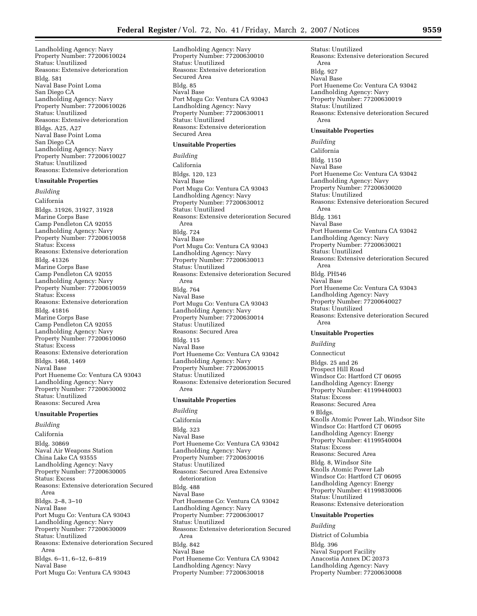Landholding Agency: Navy Property Number: 77200610024 Status: Unutilized Reasons: Extensive deterioration Bldg. 581 Naval Base Point Loma San Diego CA Landholding Agency: Navy Property Number: 77200610026 Status: Unutilized Reasons: Extensive deterioration Bldgs. A25, A27 Naval Base Point Loma San Diego CA Landholding Agency: Navy Property Number: 77200610027 Status: Unutilized Reasons: Extensive deterioration

## **Unsuitable Properties**

*Building*  California Bldgs. 31926, 31927, 31928 Marine Corps Base Camp Pendleton CA 92055 Landholding Agency: Navy Property Number: 77200610058 Status: Excess Reasons: Extensive deterioration Bldg. 41326 Marine Corps Base Camp Pendleton CA 92055 Landholding Agency: Navy Property Number: 77200610059 Status: Excess Reasons: Extensive deterioration Bldg. 41816 Marine Corps Base Camp Pendleton CA 92055 Landholding Agency: Navy Property Number: 77200610060 Status: Excess Reasons: Extensive deterioration Bldgs. 1468, 1469 Naval Base Port Hueneme Co: Ventura CA 93043 Landholding Agency: Navy Property Number: 77200630002 Status: Unutilized Reasons: Secured Area

## **Unsuitable Properties**

*Building*  California Bldg. 30869 Naval Air Weapons Station China Lake CA 93555 Landholding Agency: Navy Property Number: 77200630005 Status: Excess Reasons: Extensive deterioration Secured Area Bldgs. 2–8, 3–10 Naval Base Port Mugu Co: Ventura CA 93043 Landholding Agency: Navy Property Number: 77200630009 Status: Unutilized Reasons: Extensive deterioration Secured Area Bldgs. 6–11, 6–12, 6–819 Naval Base Port Mugu Co: Ventura CA 93043

Landholding Agency: Navy Property Number: 77200630010 Status: Unutilized Reasons: Extensive deterioration Secured Area Bldg. 85 Naval Base Port Mugu Co: Ventura CA 93043 Landholding Agency: Navy Property Number: 77200630011 Status: Unutilized Reasons: Extensive deterioration Secured Area

## **Unsuitable Properties**

*Building*  California Bldgs. 120, 123 Naval Base Port Mugu Co: Ventura CA 93043 Landholding Agency: Navy Property Number: 77200630012 Status: Unutilized Reasons: Extensive deterioration Secured Area Bldg. 724 Naval Base Port Mugu Co: Ventura CA 93043 Landholding Agency: Navy Property Number: 77200630013 Status: Unutilized Reasons: Extensive deterioration Secured Area Bldg. 764 Naval Base Port Mugu Co: Ventura CA 93043 Landholding Agency: Navy Property Number: 77200630014 Status: Unutilized Reasons: Secured Area Bldg. 115 Naval Base Port Hueneme Co: Ventura CA 93042 Landholding Agency: Navy Property Number: 77200630015 Status: Unutilized Reasons: Extensive deterioration Secured Area **Unsuitable Properties**  *Building*  California

Bldg. 323 Naval Base Port Hueneme Co: Ventura CA 93042 Landholding Agency: Navy Property Number: 77200630016 Status: Unutilized Reasons: Secured Area Extensive deterioration Bldg. 488 Naval Base Port Hueneme Co: Ventura CA 93042 Landholding Agency: Navy Property Number: 77200630017 Status: Unutilized Reasons: Extensive deterioration Secured Area Bldg. 842 Naval Base Port Hueneme Co: Ventura CA 93042 Landholding Agency: Navy Property Number: 77200630018

Status: Unutilized Reasons: Extensive deterioration Secured Area Bldg. 927 Naval Base Port Hueneme Co: Ventura CA 93042 Landholding Agency: Navy Property Number: 77200630019 Status: Unutilized Reasons: Extensive deterioration Secured Area

#### **Unsuitable Properties**

*Building* 

California Bldg. 1150 Naval Base Port Hueneme Co: Ventura CA 93042 Landholding Agency: Navy Property Number: 77200630020 Status: Unutilized Reasons: Extensive deterioration Secured Area Bldg. 1361 Naval Base Port Hueneme Co: Ventura CA 93042 Landholding Agency: Navy Property Number: 77200630021 Status: Unutilized Reasons: Extensive deterioration Secured Area Bldg. PH546 Naval Base Port Hueneme Co: Ventura CA 93043 Landholding Agency: Navy Property Number: 77200640027 Status: Unutilized Reasons: Extensive deterioration Secured Area

#### **Unsuitable Properties**

*Building* 

Connecticut Bldgs. 25 and 26 Prospect Hill Road Windsor Co: Hartford CT 06095 Landholding Agency: Energy Property Number: 41199440003 Status: Excess Reasons: Secured Area 9 Bldgs. Knolls Atomic Power Lab, Windsor Site Windsor Co: Hartford CT 06095 Landholding Agency: Energy Property Number: 41199540004 Status: Excess Reasons: Secured Area Bldg. 8, Windsor Site Knolls Atomic Power Lab Windsor Co: Hartford CT 06095 Landholding Agency: Energy Property Number: 41199830006 Status: Unutilized Reasons: Extensive deterioration

## **Unsuitable Properties**

*Building*  District of Columbia

Bldg. 396 Naval Support Facility Anacostia Annex DC 20373 Landholding Agency: Navy Property Number: 77200630008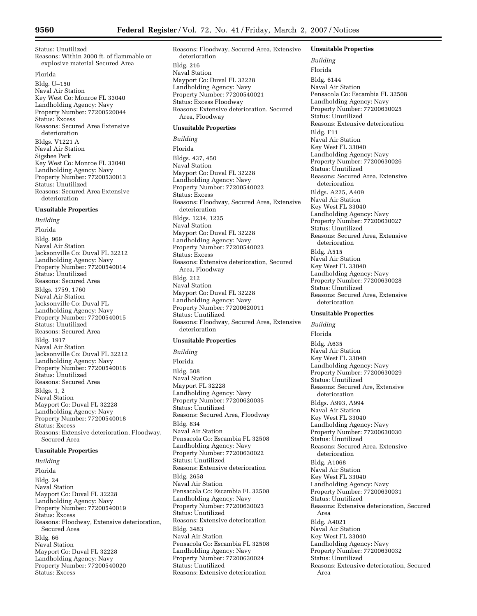Status: Unutilized Reasons: Within 2000 ft. of flammable or explosive material Secured Area

#### Florida

Bldg. U–150 Naval Air Station Key West Co: Monroe FL 33040 Landholding Agency: Navy Property Number: 77200520044 Status: Excess Reasons: Secured Area Extensive deterioration Bldgs. V1221 A Naval Air Station Sigsbee Park Key West Co: Monroe FL 33040 Landholding Agency: Navy Property Number: 77200530013 Status: Unutilized Reasons: Secured Area Extensive deterioration

## **Unsuitable Properties**

*Building*  Florida Bldg. 969 Naval Air Station Jacksonville Co: Duval FL 32212 Landholding Agency: Navy Property Number: 77200540014 Status: Unutilized Reasons: Secured Area Bldgs. 1759, 1760 Naval Air Station Jacksonville Co: Duval FL Landholding Agency: Navy Property Number: 77200540015 Status: Unutilized Reasons: Secured Area Bldg. 1917 Naval Air Station Jacksonville Co: Duval FL 32212 Landholding Agency: Navy Property Number: 77200540016 Status: Unutilized Reasons: Secured Area Bldgs. 1, 2 Naval Station Mayport Co: Duval FL 32228 Landholding Agency: Navy Property Number: 77200540018 Status: Excess Reasons: Extensive deterioration, Floodway, Secured Area

## **Unsuitable Properties**

*Building*  Florida Bldg. 24 Naval Station Mayport Co: Duval FL 32228 Landholding Agency: Navy Property Number: 77200540019 Status: Excess Reasons: Floodway, Extensive deterioration, Secured Area Bldg. 66 Naval Station Mayport Co: Duval FL 32228 Landholding Agency: Navy Property Number: 77200540020 Status: Excess

Reasons: Floodway, Secured Area, Extensive deterioration Bldg. 216 Naval Station Mayport Co: Duval FL 32228 Landholding Agency: Navy Property Number: 77200540021 Status: Excess Floodway Reasons: Extensive deterioration, Secured Area, Floodway

#### **Unsuitable Properties**

*Building* 

Florida Bldgs. 437, 450 Naval Station Mayport Co: Duval FL 32228 Landholding Agency: Navy Property Number: 77200540022 Status: Excess Reasons: Floodway, Secured Area, Extensive deterioration Bldgs. 1234, 1235 Naval Station Mayport Co: Duval FL 32228 Landholding Agency: Navy Property Number: 77200540023 Status: Excess Reasons: Extensive deterioration, Secured Area, Floodway Bldg. 212 Naval Station Mayport Co: Duval FL 32228 Landholding Agency: Navy Property Number: 77200620011 Status: Unutilized Reasons: Floodway, Secured Area, Extensive deterioration

## **Unsuitable Properties**

*Building*  Florida Bldg. 508 Naval Station Mayport FL 32228 Landholding Agency: Navy Property Number: 77200620035 Status: Unutilized Reasons: Secured Area, Floodway Bldg. 834 Naval Air Station Pensacola Co: Escambia FL 32508 Landholding Agency: Navy Property Number: 77200630022 Status: Unutilized Reasons: Extensive deterioration Bldg. 2658 Naval Air Station Pensacola Co: Escambia FL 32508 Landholding Agency: Navy Property Number: 77200630023 Status: Unutilized Reasons: Extensive deterioration Bldg. 3483 Naval Air Station Pensacola Co: Escambia FL 32508 Landholding Agency: Navy Property Number: 77200630024 Status: Unutilized Reasons: Extensive deterioration

#### **Unsuitable Properties**

*Building*  Florida Bldg. 6144 Naval Air Station Pensacola Co: Escambia FL 32508 Landholding Agency: Navy Property Number: 77200630025 Status: Unutilized Reasons: Extensive deterioration Bldg. F11 Naval Air Station Key West FL 33040 Landholding Agency: Navy Property Number: 77200630026 Status: Unutilized Reasons: Secured Area, Extensive deterioration Bldgs. A225, A409 Naval Air Station Key West FL 33040 Landholding Agency: Navy Property Number: 77200630027 Status: Unutilized Reasons: Secured Area, Extensive deterioration Bldg. A515 Naval Air Station Key West FL 33040 Landholding Agency: Navy Property Number: 77200630028 Status: Unutilized Reasons: Secured Area, Extensive deterioration **Unsuitable Properties**  *Building*  Florida Bldg. A635 Naval Air Station Key West FL 33040 Landholding Agency: Navy Property Number: 77200630029 Status: Unutilized Reasons: Secured Are, Extensive deterioration Bldgs. A993, A994 Naval Air Station Key West FL 33040 Landholding Agency: Navy Property Number: 77200630030 Status: Unutilized Reasons: Secured Area, Extensive deterioration Bldg. A1068 Naval Air Station Key West FL 33040

Landholding Agency: Navy Property Number: 77200630031

Reasons: Extensive deterioration, Secured

Reasons: Extensive deterioration, Secured

Status: Unutilized

Status: Unutilized

Area Bldg. A4021 Naval Air Station Key West FL 33040 Landholding Agency: Navy Property Number: 77200630032

Area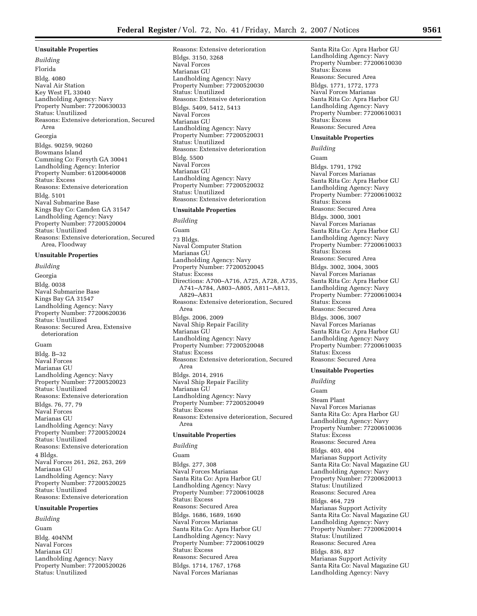#### **Unsuitable Properties**

*Building*  Florida Bldg. 4080 Naval Air Station Key West FL 33040 Landholding Agency: Navy Property Number: 77200630033 Status: Unutilized Reasons: Extensive deterioration, Secured Area Georgia Bldgs. 90259, 90260 Bowmans Island Cumming Co: Forsyth GA 30041 Landholding Agency: Interior Property Number: 61200640008 Status: Excess Reasons: Extensive deterioration Bldg. 5101 Naval Submarine Base Kings Bay Co: Camden GA 31547 Landholding Agency: Navy Property Number: 77200520004 Status: Unutilized Reasons: Extensive deterioration, Secured Area, Floodway

## **Unsuitable Properties**

*Building*  Georgia Bldg. 0038 Naval Submarine Base Kings Bay GA 31547 Landholding Agency: Navy Property Number: 77200620036 Status: Unutilized Reasons: Secured Area, Extensive deterioration

## Guam

Bldg. B–32 Naval Forces Marianas GU Landholding Agency: Navy Property Number: 77200520023 Status: Unutilized Reasons: Extensive deterioration Bldgs. 76, 77, 79 Naval Forces Marianas GU Landholding Agency: Navy Property Number: 77200520024 Status: Unutilized Reasons: Extensive deterioration 4 Bldgs. Naval Forces 261, 262, 263, 269 Marianas GU Landholding Agency: Navy Property Number: 77200520025 Status: Unutilized Reasons: Extensive deterioration

## **Unsuitable Properties**

*Building*  Guam Bldg. 404NM Naval Forces Marianas GU Landholding Agency: Navy Property Number: 77200520026 Status: Unutilized

### Reasons: Extensive deterioration Bldgs. 3150, 3268 Naval Forces Marianas GU Landholding Agency: Navy Property Number: 77200520030 Status: Unutilized Reasons: Extensive deterioration Bldgs. 5409, 5412, 5413 Naval Forces Marianas GU Landholding Agency: Navy Property Number: 77200520031 Status: Unutilized Reasons: Extensive deterioration Bldg. 5500 Naval Forces Marianas GU Landholding Agency: Navy Property Number: 77200520032 Status: Unutilized Reasons: Extensive deterioration

#### **Unsuitable Properties**

*Building*  Guam 73 Bldgs. Naval Computer Station Marianas GU Landholding Agency: Navy Property Number: 77200520045 Status: Excess Directions: A700–A716, A725, A728, A735, A741–A784, A803–A805, A811–A813, A829–A831 Reasons: Extensive deterioration, Secured Area Bldgs. 2006, 2009 Naval Ship Repair Facility Marianas GU Landholding Agency: Navy Property Number: 77200520048 Status: Excess Reasons: Extensive deterioration, Secured Area Bldgs. 2014, 2916 Naval Ship Repair Facility Marianas GU Landholding Agency: Navy Property Number: 77200520049 Status: Excess Reasons: Extensive deterioration, Secured Area

## **Unsuitable Properties**

*Building* 

Guam

Bldgs. 277, 308 Naval Forces Marianas Santa Rita Co: Apra Harbor GU Landholding Agency: Navy Property Number: 77200610028 Status: Excess Reasons: Secured Area Bldgs. 1686, 1689, 1690 Naval Forces Marianas Santa Rita Co: Apra Harbor GU Landholding Agency: Navy Property Number: 77200610029 Status: Excess Reasons: Secured Area Bldgs. 1714, 1767, 1768 Naval Forces Marianas

Santa Rita Co: Apra Harbor GU Landholding Agency: Navy Property Number: 77200610030 Status: Excess Reasons: Secured Area Bldgs. 1771, 1772, 1773 Naval Forces Marianas Santa Rita Co: Apra Harbor GU Landholding Agency: Navy Property Number: 77200610031 Status: Excess Reasons: Secured Area

#### **Unsuitable Properties**

*Building*  Guam

Bldgs. 1791, 1792 Naval Forces Marianas Santa Rita Co: Apra Harbor GU Landholding Agency: Navy Property Number: 77200610032 Status: Excess Reasons: Secured Area Bldgs. 3000, 3001 Naval Forces Marianas Santa Rita Co: Apra Harbor GU Landholding Agency: Navy Property Number: 77200610033 Status: Excess Reasons: Secured Area Bldgs. 3002, 3004, 3005 Naval Forces Marianas Santa Rita Co: Apra Harbor GU Landholding Agency: Navy Property Number: 77200610034 Status: Excess Reasons: Secured Area Bldgs. 3006, 3007 Naval Forces Marianas Santa Rita Co: Apra Harbor GU Landholding Agency: Navy Property Number: 77200610035 Status: Excess Reasons: Secured Area

## **Unsuitable Properties**

*Building* 

Guam

Steam Plant Naval Forces Marianas Santa Rita Co: Apra Harbor GU Landholding Agency: Navy Property Number: 77200610036 Status: Excess Reasons: Secured Area Bldgs. 403, 404 Marianas Support Activity Santa Rita Co: Naval Magazine GU Landholding Agency: Navy Property Number: 77200620013 Status: Unutilized Reasons: Secured Area Bldgs. 464, 729 Marianas Support Activity Santa Rita Co: Naval Magazine GU Landholding Agency: Navy Property Number: 77200620014 Status: Unutilized Reasons: Secured Area Bldgs. 836, 837 Marianas Support Activity Santa Rita Co: Naval Magazine GU Landholding Agency: Navy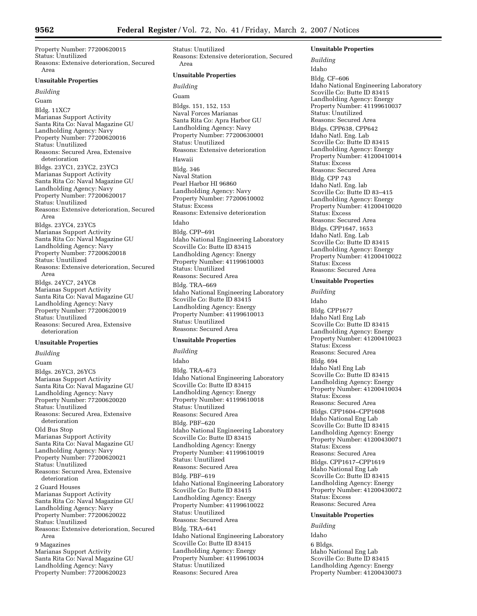Property Number: 77200620015 Status: Unutilized Reasons: Extensive deterioration, Secured Area

## **Unsuitable Properties**

*Building* 

Guam Bldg. 11XC7 Marianas Support Activity Santa Rita Co: Naval Magazine GU Landholding Agency: Navy Property Number: 77200620016 Status: Unutilized Reasons: Secured Area, Extensive deterioration Bldgs. 23YC1, 23YC2, 23YC3 Marianas Support Activity Santa Rita Co: Naval Magazine GU Landholding Agency: Navy Property Number: 77200620017 Status: Unutilized Reasons: Extensive deterioration, Secured Area Bldgs. 23YC4, 23YC5 Marianas Support Activity Santa Rita Co: Naval Magazine GU Landholding Agency: Navy Property Number: 77200620018 Status: Unutilized Reasons: Extensive deterioration, Secured Area Bldgs. 24YC7, 24YC8 Marianas Support Activity Santa Rita Co: Naval Magazine GU

Landholding Agency: Navy Property Number: 77200620019 Status: Unutilized Reasons: Secured Area, Extensive deterioration

## **Unsuitable Properties**

*Building*  Guam Bldgs. 26YC3, 26YC5 Marianas Support Activity Santa Rita Co: Naval Magazine GU Landholding Agency: Navy Property Number: 77200620020 Status: Unutilized Reasons: Secured Area, Extensive deterioration Old Bus Stop Marianas Support Activity Santa Rita Co: Naval Magazine GU Landholding Agency: Navy Property Number: 77200620021 Status: Unutilized Reasons: Secured Area, Extensive deterioration 2 Guard Houses Marianas Support Activity Santa Rita Co: Naval Magazine GU Landholding Agency: Navy Property Number: 77200620022 Status: Unutilized Reasons: Extensive deterioration, Secured Area 9 Magazines Marianas Support Activity Santa Rita Co: Naval Magazine GU Landholding Agency: Navy Property Number: 77200620023

Status: Unutilized Reasons: Extensive deterioration, Secured Area

## **Unsuitable Properties**

# *Building*

Guam Bldgs. 151, 152, 153 Naval Forces Marianas Santa Rita Co: Apra Harbor GU Landholding Agency: Navy Property Number: 77200630001 Status: Unutilized Reasons: Extensive deterioration Hawaii Bldg. 346 Naval Station Pearl Harbor HI 96860 Landholding Agency: Navy Property Number: 77200610002 Status: Excess Reasons: Extensive deterioration Idaho Bldg. CPP–691 Idaho National Engineering Laboratory Scoville Co: Butte ID 83415 Landholding Agency: Energy Property Number: 41199610003 Status: Unutilized Reasons: Secured Area Bldg. TRA–669 Idaho National Engineering Laboratory Scoville Co: Butte ID 83415 Landholding Agency: Energy Property Number: 41199610013 Status: Unutilized Reasons: Secured Area

#### **Unsuitable Properties**

*Building*  Idaho Bldg. TRA–673 Idaho National Engineering Laboratory Scoville Co: Butte ID 83415 Landholding Agency: Energy Property Number: 41199610018 Status: Unutilized Reasons: Secured Area Bldg. PBF–620 Idaho National Engineering Laboratory Scoville Co: Butte ID 83415 Landholding Agency: Energy Property Number: 41199610019 Status: Unutilized Reasons: Secured Area Bldg. PBF–619 Idaho National Engineering Laboratory Scoville Co: Butte ID 83415 Landholding Agency: Energy Property Number: 41199610022 Status: Unutilized Reasons: Secured Area Bldg. TRA–641 Idaho National Engineering Laboratory Scoville Co: Butte ID 83415 Landholding Agency: Energy Property Number: 41199610034 Status: Unutilized Reasons: Secured Area

## **Unsuitable Properties**

*Building*  Idaho Bldg. CF–606 Idaho National Engineering Laboratory Scoville Co: Butte ID 83415 Landholding Agency: Energy Property Number: 41199610037 Status: Unutilized Reasons: Secured Area Bldgs. CPP638, CPP642 Idaho Natl. Eng. Lab Scoville Co: Butte ID 83415 Landholding Agency: Energy Property Number: 41200410014 Status: Excess Reasons: Secured Area Bldg. CPP 743 Idaho Natl. Eng. lab Scoville Co: Butte ID 83–415 Landholding Agency: Energy Property Number: 41200410020 Status: Excess Reasons: Secured Area Bldgs. CPP1647, 1653 Idaho Natl. Eng. Lab Scoville Co: Butte ID 83415 Landholding Agency: Energy Property Number: 41200410022 Status: Excess Reasons: Secured Area

#### **Unsuitable Properties**

*Building*  Idaho Bldg. CPP1677 Idaho Natl Eng Lab Scoville Co: Butte ID 83415 Landholding Agency: Energy Property Number: 41200410023 Status: Excess Reasons: Secured Area Bldg. 694 Idaho Natl Eng Lab Scoville Co: Butte ID 83415 Landholding Agency: Energy Property Number: 41200410034 Status: Excess Reasons: Secured Area Bldgs. CPP1604–CPP1608 Idaho National Eng Lab Scoville Co: Butte ID 83415 Landholding Agency: Energy Property Number: 41200430071 Status: Excess Reasons: Secured Area Bldgs. CPP1617–CPP1619 Idaho National Eng Lab Scoville Co: Butte ID 83415 Landholding Agency: Energy Property Number: 41200430072 Status: Excess Reasons: Secured Area **Unsuitable Properties** 

*Building*  Idaho 6 Bldgs. Idaho National Eng Lab Scoville Co: Butte ID 83415 Landholding Agency: Energy Property Number: 41200430073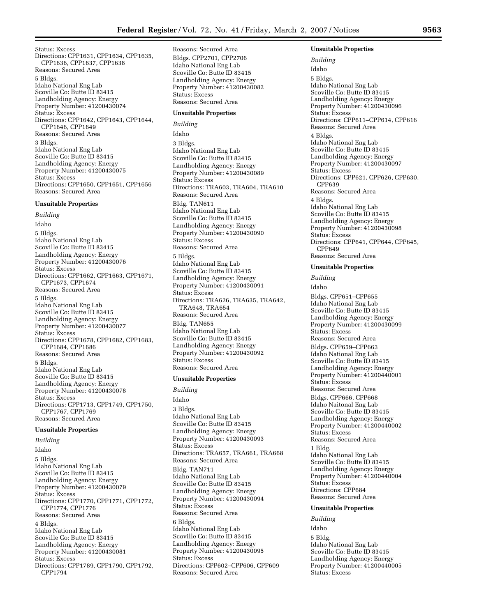Status: Excess Directions: CPP1631, CPP1634, CPP1635, CPP1636, CPP1637, CPP1638 Reasons: Secured Area 5 Bldgs. Idaho National Eng Lab Scoville Co: Butte ID 83415 Landholding Agency: Energy Property Number: 41200430074 Status: Excess Directions: CPP1642, CPP1643, CPP1644, CPP1646, CPP1649 Reasons: Secured Area 3 Bldgs. Idaho National Eng Lab Scoville Co: Butte ID 83415 Landholding Agency: Energy Property Number: 41200430075 Status: Excess Directions: CPP1650, CPP1651, CPP1656 Reasons: Secured Area

## **Unsuitable Properties**

*Building*  Idaho 5 Bldgs. Idaho National Eng Lab Scoville Co: Butte ID 83415 Landholding Agency: Energy Property Number: 41200430076 Status: Excess Directions: CPP1662, CPP1663, CPP1671, CPP1673, CPP1674 Reasons: Secured Area 5 Bldgs. Idaho National Eng Lab Scoville Co: Butte ID 83415 Landholding Agency: Energy Property Number: 41200430077 Status: Excess Directions: CPP1678, CPP1682, CPP1683, CPP1684, CPP1686 Reasons: Secured Area 5 Bldgs. Idaho National Eng Lab Scoville Co: Butte ID 83415 Landholding Agency: Energy Property Number: 41200430078 Status: Excess Directions: CPP1713, CPP1749, CPP1750, CPP1767, CPP1769 Reasons: Secured Area

## **Unsuitable Properties**

*Building*  Idaho 5 Bldgs. Idaho National Eng Lab Scoville Co: Butte ID 83415 Landholding Agency: Energy Property Number: 41200430079 Status: Excess Directions: CPP1770, CPP1771, CPP1772, CPP1774, CPP1776 Reasons: Secured Area 4 Bldgs. Idaho National Eng Lab Scoville Co: Butte ID 83415 Landholding Agency: Energy Property Number: 41200430081 Status: Excess Directions: CPP1789, CPP1790, CPP1792, CPP1794

Reasons: Secured Area Bldgs. CPP2701, CPP2706 Idaho National Eng Lab Scoville Co: Butte ID 83415 Landholding Agency: Energy Property Number: 41200430082 Status: Excess Reasons: Secured Area

#### **Unsuitable Properties**

*Building*  Idaho 3 Bldgs. Idaho National Eng Lab Scoville Co: Butte ID 83415 Landholding Agency: Energy Property Number: 41200430089 Status: Excess Directions: TRA603, TRA604, TRA610 Reasons: Secured Area Bldg. TAN611 Idaho National Eng Lab Scoville Co: Butte ID 83415 Landholding Agency: Energy Property Number: 41200430090 Status: Excess Reasons: Secured Area 5 Bldgs. Idaho National Eng Lab Scoville Co: Butte ID 83415 Landholding Agency: Energy Property Number: 41200430091 Status: Excess Directions: TRA626, TRA635, TRA642, TRA648, TRA654 Reasons: Secured Area Bldg. TAN655 Idaho National Eng Lab Scoville Co: Butte ID 83415 Landholding Agency: Energy Property Number: 41200430092 Status: Excess Reasons: Secured Area

#### **Unsuitable Properties**

*Building*  Idaho 3 Bldgs. Idaho National Eng Lab Scoville Co: Butte ID 83415 Landholding Agency: Energy Property Number: 41200430093 Status: Excess Directions: TRA657, TRA661, TRA668 Reasons: Secured Area Bldg. TAN711 Idaho National Eng Lab Scoville Co: Butte ID 83415 Landholding Agency: Energy Property Number: 41200430094 Status: Excess Reasons: Secured Area 6 Bldgs. Idaho National Eng Lab Scoville Co: Butte ID 83415 Landholding Agency: Energy Property Number: 41200430095 Status: Excess Directions: CPP602–CPP606, CPP609 Reasons: Secured Area

#### **Unsuitable Properties**

*Building*  Idaho 5 Bldgs. Idaho National Eng Lab Scoville Co: Butte ID 83415 Landholding Agency: Energy Property Number: 41200430096 Status: Excess Directions: CPP611–CPP614, CPP616 Reasons: Secured Area 4 Bldgs. Idaho National Eng Lab Scoville Co: Butte ID 83415 Landholding Agency: Energy Property Number: 41200430097 Status: Excess Directions: CPP621, CPP626, CPP630, CPP639 Reasons: Secured Area 4 Bldgs. Idaho National Eng Lab Scoville Co: Butte ID 83415 Landholding Agency: Energy Property Number: 41200430098 Status: Excess Directions: CPP641, CPP644, CPP645, CPP649 Reasons: Secured Area **Unsuitable Properties**  *Building*  Idaho Bldgs. CPP651–CPP655 Idaho National Eng Lab Scoville Co: Butte ID 83415 Landholding Agency: Energy Property Number: 41200430099 Status: Excess Reasons: Secured Area Bldgs. CPP659–CPP663 Idaho National Eng Lab

Landholding Agency: Energy Property Number: 41200440001 Status: Excess Reasons: Secured Area Bldgs. CPP666, CPP668 Idaho Naitonal Eng Lab Scoville Co: Butte ID 83415 Landholding Agency: Energy Property Number: 41200440002 Status: Excess Reasons: Secured Area 1 Bldg. Idaho National Eng Lab Scoville Co: Butte ID 83415 Landholding Agency: Energy Property Number: 41200440004 Status: Excess

Scoville Co: Butte ID 83415

Directions: CPP684 Reasons: Secured Area

#### **Unsuitable Properties**

*Building*  Idaho 5 Bldg. Idaho National Eng Lab Scoville Co: Butte ID 83415 Landholding Agency: Energy Property Number: 41200440005 Status: Excess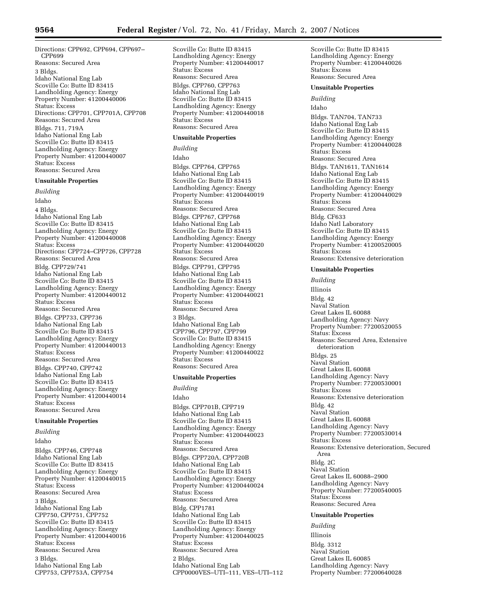Directions: CPP692, CPP694, CPP697– CPP699 Reasons: Secured Area 3 Bldgs. Idaho National Eng Lab Scoville Co: Butte ID 83415 Landholding Agency: Energy Property Number: 41200440006 Status: Excess Directions: CPP701, CPP701A, CPP708 Reasons: Secured Area Bldgs. 711, 719A Idaho National Eng Lab Scoville Co: Butte ID 83415 Landholding Agency: Energy Property Number: 41200440007

Status: Excess Reasons: Secured Area **Unsuitable Properties**  *Building*  Idaho 4 Bldgs. Idaho National Eng Lab Scoville Co: Butte ID 83415 Landholding Agency: Energy Property Number: 41200440008 Status: Excess Directions: CPP724–CPP726, CPP728 Reasons: Secured Area Bldg. CPP729/741 Idaho National Eng Lab Scoville Co: Butte ID 83415 Landholding Agency: Energy Property Number: 41200440012 Status: Excess Reasons: Secured Area Bldgs. CPP733, CPP736 Idaho National Eng Lab Scoville Co: Butte ID 83415 Landholding Agency: Energy Property Number: 41200440013 Status: Excess Reasons: Secured Area Bldgs. CPP740, CPP742 Idaho National Eng Lab Scoville Co: Butte ID 83415 Landholding Agency: Energy Property Number: 41200440014

#### Status: Excess Reasons: Secured Area

## **Unsuitable Properties**

*Building* 

Idaho Bldgs. CPP746, CPP748 Idaho National Eng Lab Scoville Co: Butte ID 83415 Landholding Agency: Energy Property Number: 41200440015 Status: Excess Reasons: Secured Area 3 Bldgs. Idaho National Eng Lab CPP750, CPP751, CPP752 Scoville Co: Butte ID 83415 Landholding Agency: Energy Property Number: 41200440016 Status: Excess Reasons: Secured Area 3 Bldgs. Idaho National Eng Lab CPP753, CPP753A, CPP754

Scoville Co: Butte ID 83415 Landholding Agency: Energy Property Number: 41200440017 Status: Excess Reasons: Secured Area Bldgs. CPP760, CPP763 Idaho National Eng Lab Scoville Co: Butte ID 83415 Landholding Agency: Energy Property Number: 41200440018 Status: Excess Reasons: Secured Area **Unsuitable Properties**  *Building*  Idaho

Bldgs. CPP764, CPP765 Idaho National Eng Lab Scoville Co: Butte ID 83415 Landholding Agency: Energy Property Number: 41200440019 Status: Excess Reasons: Secured Area Bldgs. CPP767, CPP768 Idaho National Eng Lab Scoville Co: Butte ID 83415 Landholding Agency: Energy Property Number: 41200440020 Status: Excess Reasons: Secured Area Bldgs. CPP791, CPP795 Idaho National Eng Lab Scoville Co: Butte ID 83415 Landholding Agency: Energy Property Number: 41200440021 Status: Excess Reasons: Secured Area 3 Bldgs. Idaho National Eng Lab CPP796, CPP797, CPP799 Scoville Co: Butte ID 83415 Landholding Agency: Energy Property Number: 41200440022 Status: Excess Reasons: Secured Area

#### **Unsuitable Properties**

*Building*  Idaho Bldgs. CPP701B, CPP719 Idaho National Eng Lab Scoville Co: Butte ID 83415 Landholding Agency: Energy Property Number: 41200440023 Status: Excess Reasons: Secured Area Bldgs. CPP720A, CPP720B Idaho National Eng Lab Scoville Co: Butte ID 83415 Landholding Agency: Energy Property Number: 41200440024 Status: Excess Reasons: Secured Area Bldg. CPP1781 Idaho National Eng Lab Scoville Co: Butte ID 83415 Landholding Agency: Energy Property Number: 41200440025 Status: Excess Reasons: Secured Area 2 Bldgs. Idaho National Eng Lab CPP0000VES–UTI–111, VES–UTI–112 Scoville Co: Butte ID 83415 Landholding Agency: Energy Property Number: 41200440026 Status: Excess Reasons: Secured Area

#### **Unsuitable Properties**

*Building* 

Idaho

Bldgs. TAN704, TAN733 Idaho National Eng Lab Scoville Co: Butte ID 83415 Landholding Agency: Energy Property Number: 41200440028 Status: Excess Reasons: Secured Area Bldgs. TAN1611, TAN1614 Idaho National Eng Lab Scoville Co: Butte ID 83415 Landholding Agency: Energy Property Number: 41200440029 Status: Excess Reasons: Secured Area Bldg. CF633 Idaho Natl Laboratory Scoville Co: Butte ID 83415 Landholding Agency: Energy Property Number: 41200520005 Status: Excess Reasons: Extensive deterioration

## **Unsuitable Properties**

*Building*  Illinois Bldg. 42 Naval Station Great Lakes IL 60088 Landholding Agency: Navy Property Number: 77200520055 Status: Excess Reasons: Secured Area, Extensive deterioration Bldgs. 25 Naval Station Great Lakes IL 60088 Landholding Agency: Navy Property Number: 77200530001 Status: Excess Reasons: Extensive deterioration Bldg. 42 Naval Station Great Lakes IL 60088 Landholding Agency: Navy Property Number: 77200530014 Status: Excess Reasons: Extensive deterioration, Secured Area Bldg. 2C Naval Station Great Lakes IL 60088–2900 Landholding Agency: Navy Property Number: 77200540005 Status: Excess Reasons: Secured Area

## **Unsuitable Properties**

*Building*  Illinois Bldg. 3312 Naval Station Great Lakes IL 60085 Landholding Agency: Navy Property Number: 77200640028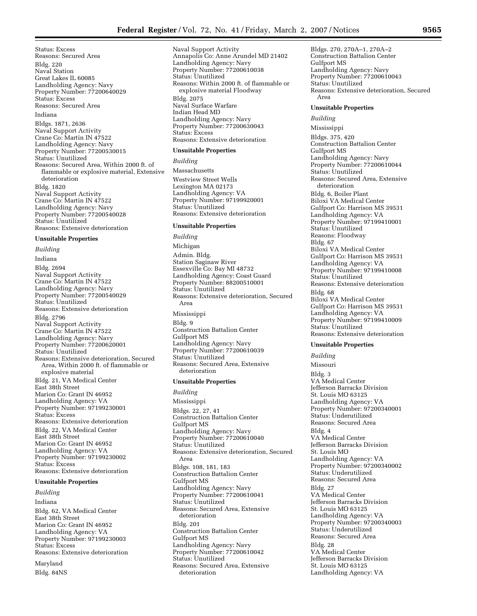Status: Excess Reasons: Secured Area Bldg. 220 Naval Station Great Lakes IL 60085 Landholding Agency: Navy Property Number: 77200640029 Status: Excess Reasons: Secured Area Indiana Bldgs. 1871, 2636 Naval Support Activity Crane Co: Martin IN 47522 Landholding Agency: Navy Property Number: 77200530015 Status: Unutilized Reasons: Secured Area, Within 2000 ft. of flammable or explosive material, Extensive deterioration Bldg. 1820 Naval Support Activity Crane Co: Martin IN 47522 Landholding Agency: Navy Property Number: 77200540028 Status: Unutilized Reasons: Extensive deterioration

## **Unsuitable Properties**

*Building*  Indiana Bldg. 2694 Naval Support Activity Crane Co: Martin IN 47522 Landholding Agency: Navy Property Number: 77200540029 Status: Unutilized Reasons: Extensive deterioration Bldg. 2796 Naval Support Activity Crane Co: Martin IN 47522 Landholding Agency: Navy Property Number: 77200620001 Status: Unutilized Reasons: Extensive deterioration, Secured Area, Within 2000 ft. of flammable or explosive material Bldg. 21, VA Medical Center East 38th Street Marion Co: Grant IN 46952 Landholding Agency: VA Property Number: 97199230001 Status: Excess Reasons: Extensive deterioration Bldg. 22, VA Medical Center East 38th Street Marion Co: Grant IN 46952 Landholding Agency: VA Property Number: 97199230002 Status: Excess Reasons: Extensive deterioration

#### **Unsuitable Properties**

*Building*  Indiana Bldg. 62, VA Medical Center East 38th Street Marion Co: Grant IN 46952 Landholding Agency: VA Property Number: 97199230003 Status: Excess Reasons: Extensive deterioration

Maryland Bldg. 84NS Naval Support Activity Annapolis Co: Anne Arundel MD 21402 Landholding Agency: Navy Property Number: 77200610038 Status: Unutilized Reasons: Within 2000 ft. of flammable or explosive material Floodway Bldg. 2075 Naval Surface Warfare Indian Head MD Landholding Agency: Navy Property Number: 77200630043 Status: Excess Reasons: Extensive deterioration

## **Unsuitable Properties**

*Building*  Massachusetts Westview Street Wells Lexington MA 02173 Landholding Agency: VA Property Number: 97199920001 Status: Unutilized Reasons: Extensive deterioration

#### **Unsuitable Properties**

*Building*  Michigan Admin. Bldg. Station Saginaw River Essexville Co: Bay MI 48732 Landholding Agency: Coast Guard Property Number: 88200510001 Status: Unutilized Reasons: Extensive deterioration, Secured Area Mississippi Bldg. 9 Construction Battalion Center Gulfport MS Landholding Agency: Navy Property Number: 77200610039 Status: Unutilized Reasons: Secured Area, Extensive deterioration

#### **Unsuitable Properties**

*Building*  Mississippi Bldgs. 22, 27, 41 Construction Battalion Center Gulfport MS Landholding Agency: Navy Property Number: 77200610040 Status: Unutilized Reasons: Extensive deterioration, Secured Area Bldgs. 108, 181, 183 Construction Battalion Center Gulfport MS Landholding Agency: Navy Property Number: 77200610041 Status: Unutilized Reasons: Secured Area, Extensive deterioration Bldg. 201 Construction Battalion Center Gulfport MS Landholding Agency: Navy Property Number: 77200610042 Status: Unutilized Reasons: Secured Area, Extensive deterioration

Bldgs. 270, 270A–1, 270A–2 Construction Battalion Center Gulfport MS Landholding Agency: Navy Property Number: 77200610043 Status: Unutilized Reasons: Extensive deterioration, Secured Area

#### **Unsuitable Properties**

*Building* 

Mississippi

Bldgs. 375, 420 Construction Battalion Center Gulfport MS Landholding Agency: Navy Property Number: 77200610044 Status: Unutilized Reasons: Secured Area, Extensive deterioration Bldg. 6, Boiler Plant Biloxi VA Medical Center Gulfport Co: Harrison MS 39531 Landholding Agency: VA Property Number: 97199410001 Status: Unutilized Reasons: Floodway Bldg. 67 Biloxi VA Medical Center Gulfport Co: Harrison MS 39531 Landholding Agency: VA Property Number: 97199410008 Status: Unutilized Reasons: Extensive deterioration Bldg. 68 Biloxi VA Medical Center Gulfport Co: Harrison MS 39531 Landholding Agency: VA Property Number: 97199410009 Status: Unutilized Reasons: Extensive deterioration

#### **Unsuitable Properties**

*Building*  Missouri Bldg. 3 VA Medical Center Jefferson Barracks Division St. Louis MO 63125 Landholding Agency: VA Property Number: 97200340001 Status: Underutilized Reasons: Secured Area Bldg. 4 VA Medical Center Jefferson Barracks Division St. Louis MO Landholding Agency: VA Property Number: 97200340002 Status: Underutilized Reasons: Secured Area Bldg. 27 VA Medical Center Jefferson Barracks Division St. Louis MO 63125 Landholding Agency: VA Property Number: 97200340003 Status: Underutilized Reasons: Secured Area Bldg. 28 VA Medical Center Jefferson Barracks Division St. Louis MO 63125 Landholding Agency: VA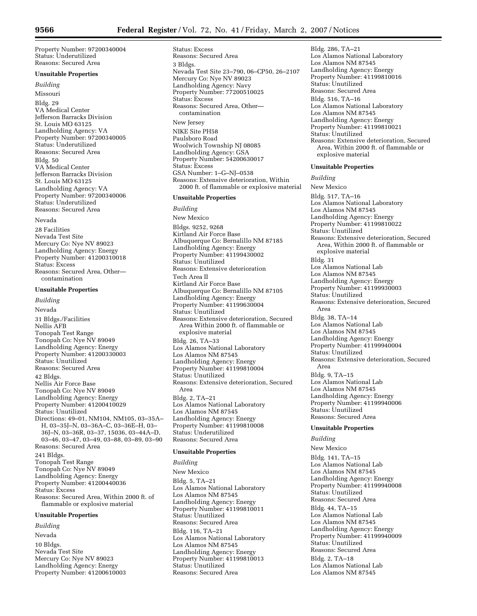Property Number: 97200340004 Status: Underutilized Reasons: Secured Area

**Unsuitable Properties**  *Building*  Missouri Bldg. 29 VA Medical Center Jefferson Barracks Division St. Louis MO 63125 Landholding Agency: VA Property Number: 97200340005 Status: Underutilized Reasons: Secured Area Bldg. 50 VA Medical Center Jefferson Barracks Division St. Louis MO 63125 Landholding Agency: VA Property Number: 97200340006 Status: Underutilized Reasons: Secured Area Nevada

28 Facilities Nevada Test Site Mercury Co: Nye NV 89023 Landholding Agency: Energy Property Number: 41200310018 Status: Excess Reasons: Secured Area, Other contamination

## **Unsuitable Properties**

*Building*  Nevada 31 Bldgs./Facilities Nellis AFB Tonopah Test Range Tonopah Co: Nye NV 89049 Landholding Agency: Energy Property Number: 41200330003 Status: Unutilized Reasons: Secured Area 42 Bldgs. Nellis Air Force Base Tonopah Co: Nye NV 89049 Landholding Agency: Energy Property Number: 41200410029 Status: Unutilized Directions: 49–01, NM104, NM105, 03–35A– H, 03–35J–N, 03–36A–C, 03–36E–H, 03– 36J–N, 03–36R, 03–37, 15036, 03–44A–D, 03–46, 03–47, 03–49, 03–88, 03–89, 03–90 Reasons: Secured Area 241 Bldgs. Tonopah Test Range Tonopah Co: Nye NV 89049 Landholding Agency: Energy Property Number: 41200440036 Status: Excess Reasons: Secured Area, Within 2000 ft. of flammable or explosive material

#### **Unsuitable Properties**

*Building*  Nevada 10 Bldgs. Nevada Test Site Mercury Co: Nye NV 89023 Landholding Agency: Energy Property Number: 41200610003

Status: Excess Reasons: Secured Area 3 Bldgs. Nevada Test Site 23–790, 06–CP50, 26–2107 Mercury Co: Nye NV 89023 Landholding Agency: Navy Property Number: 77200510025 Status: Excess Reasons: Secured Area, Other contamination New Jersey NIKE Site PH58 Paulsboro Road Woolwich Township NJ 08085 Landholding Agency: GSA Property Number: 54200630017 Status: Excess GSA Number: 1–G–NJ–0538 Reasons: Extensive deterioration, Within 2000 ft. of flammable or explosive material

#### **Unsuitable Properties**

*Building* 

New Mexico

Bldgs. 9252, 9268 Kirtland Air Force Base Albuquerque Co: Bernalillo NM 87185 Landholding Agency: Energy Property Number: 41199430002 Status: Inutilized Reasons: Extensive deterioration Tech Area II Kirtland Air Force Base Albuquerque Co: Bernalillo NM 87105 Landholding Agency: Energy Property Number: 41199630004 Status: Unutilized Reasons: Extensive deterioration, Secured Area Within 2000 ft. of flammable or explosive material Bldg. 26, TA–33 Los Alamos National Laboratory Los Alamos NM 87545 Landholding Agency: Energy Property Number: 41199810004 Status: Unutilized Reasons: Extensive deterioration, Secured Area Bldg. 2, TA–21 Los Alamos National Laboratory Los Alamos NM 87545 Landholding Agency: Energy Property Number: 41199810008 Status: Underutilized Reasons: Secured Area

#### **Unsuitable Properties**

### *Building*

New Mexico Bldg. 5, TA–21 Los Alamos National Laboratory Los Alamos NM 87545 Landholding Agency: Energy Property Number: 41199810011 Status: Unutilized Reasons: Secured Area Bldg. 116, TA–21 Los Alamos National Laboratory Los Alamos NM 87545 Landholding Agency: Energy Property Number: 41199810013 Status: Unutilized Reasons: Secured Area

Bldg. 286, TA–21 Los Alamos National Laboratory Los Alamos NM 87545 Landholding Agency: Energy Property Number: 41199810016 Status: Unutilized Reasons: Secured Area Bldg. 516, TA–16 Los Alamos National Laboratory Los Alamos NM 87545 Landholding Agency: Energy Property Number: 41199810021 Status: Unutilized Reasons: Extensive deterioration, Secured Area, Within 2000 ft. of flammable or explosive material

#### **Unsuitable Properties**

*Building* 

New Mexico Bldg. 517, TA–16 Los Alamos National Laboratory Los Alamos NM 87545 Landholding Agency: Energy Property Number: 41199810022 Status: Unutilized Reasons: Extensive deterioration, Secured Area, Within 2000 ft. of flammable or explosive material Bldg. 31 Los Alamos National Lab Los Alamos NM 87545 Landholding Agency: Energy Property Number: 41199930003 Status: Unutilized Reasons: Extensive deterioration, Secured Area Bldg. 38, TA–14 Los Alamos National Lab Los Alamos NM 87545 Landholding Agency: Energy Property Number: 41199940004 Status: Unutilized Reasons: Extensive deterioration, Secured Area Bldg. 9, TA–15 Los Alamos National Lab Los Alamos NM 87545 Landholding Agency: Energy Property Number: 41199940006 Status: Unutilized Reasons: Secured Area

## **Unsuitable Properties**

#### *Building*

New Mexico Bldg. 141, TA–15 Los Alamos National Lab Los Alamos NM 87545 Landholding Agency: Energy Property Number: 41199940008 Status: Unutilized Reasons: Secured Area Bldg. 44, TA–15 Los Alamos National Lab Los Alamos NM 87545 Landholding Agency: Energy Property Number: 41199940009 Status: Unutilized Reasons: Secured Area Bldg. 2, TA–18 Los Alamos National Lab Los Alamos NM 87545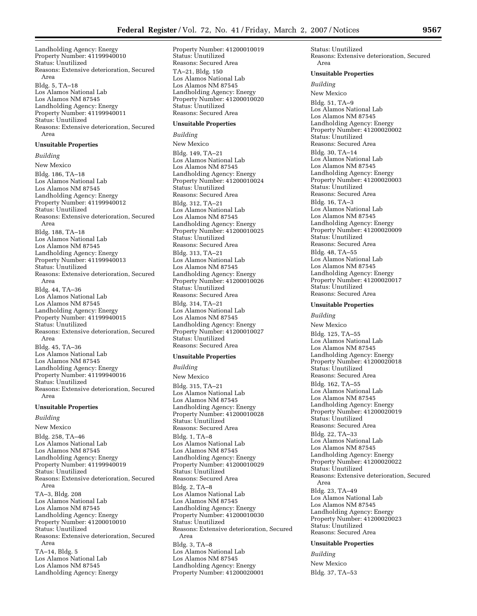Landholding Agency: Energy Property Number: 41199940010 Status: Unutilized Reasons: Extensive deterioration, Secured Area Bldg. 5, TA–18 Los Alamos National Lab Los Alamos NM 87545 Landholding Agency: Energy Property Number: 41199940011 Status: Unutilized Reasons: Extensive deterioration, Secured Area

#### **Unsuitable Properties**

*Building*  New Mexico Bldg. 186, TA–18 Los Alamos National Lab Los Alamos NM 87545 Landholding Agency: Energy Property Number: 41199940012 Status: Unutilized Reasons: Extensive deterioration, Secured Area Bldg. 188, TA–18 Los Alamos National Lab Los Alamos NM 87545 Landholding Agency: Energy Property Number: 41199940013 Status: Unutilized Reasons: Extensive deterioration, Secured Area Bldg. 44, TA–36 Los Alamos National Lab Los Alamos NM 87545 Landholding Agency: Energy Property Number: 41199940015 Status: Unutilized Reasons: Extensive deterioration, Secured Area Bldg. 45, TA–36 Los Alamos National Lab Los Alamos NM 87545 Landholding Agency: Energy Property Number: 41199940016 Status: Unutilized Reasons: Extensive deterioration, Secured Area

#### **Unsuitable Properties**

*Building*  New Mexico Bldg. 258, TA–46 Los Alamos National Lab Los Alamos NM 87545 Landholding Agency: Energy Property Number: 41199940019 Status: Unutilized Reasons: Extensive deterioration, Secured Area TA–3, Bldg. 208 Los Alamos National Lab Los Alamos NM 87545 Landholding Agency: Energy Property Number: 41200010010 Status: Unutilized Reasons: Extensive deterioration, Secured Area TA–14, Bldg. 5 Los Alamos National Lab Los Alamos NM 87545 Landholding Agency: Energy

Property Number: 41200010019 Status: Unutilized Reasons: Secured Area TA–21, Bldg. 150 Los Alamos National Lab Los Alamos NM 87545 Landholding Agency: Energy Property Number: 41200010020 Status: Unutilized Reasons: Secured Area

## **Unsuitable Properties**

*Building*  New Mexico Bldg. 149, TA–21 Los Alamos National Lab Los Alamos NM 87545 Landholding Agency: Energy Property Number: 41200010024 Status: Unutilized Reasons: Secured Area Bldg. 312, TA–21 Los Alamos National Lab Los Alamos NM 87545 Landholding Agency: Energy Property Number: 41200010025 Status: Unutilized Reasons: Secured Area Bldg. 313, TA–21 Los Alamos National Lab Los Alamos NM 87545 Landholding Agency: Energy Property Number: 41200010026 Status: Unutilized Reasons: Secured Area Bldg. 314, TA–21 Los Alamos National Lab Los Alamos NM 87545 Landholding Agency: Energy Property Number: 41200010027 Status: Unutilized Reasons: Secured Area

#### **Unsuitable Properties**

*Building*  New Mexico Bldg. 315, TA–21 Los Alamos National Lab Los Alamos NM 87545 Landholding Agency: Energy Property Number: 41200010028 Status: Unutilized Reasons: Secured Area Bldg. 1, TA–8 Los Alamos National Lab Los Alamos NM 87545 Landholding Agency: Energy Property Number: 41200010029 Status: Unutilized Reasons: Secured Area Bldg. 2, TA–8 Los Alamos National Lab Los Alamos NM 87545 Landholding Agency: Energy Property Number: 41200010030 Status: Unutilized Reasons: Extensive deterioration, Secured Area Bldg. 3, TA–8 Los Alamos National Lab Los Alamos NM 87545 Landholding Agency: Energy Property Number: 41200020001

Status: Unutilized Reasons: Extensive deterioration, Secured Area

#### **Unsuitable Properties**

### *Building*

New Mexico Bldg. 51, TA–9 Los Alamos National Lab Los Alamos NM 87545 Landholding Agency: Energy Property Number: 41200020002 Status: Unutilized Reasons: Secured Area Bldg. 30, TA–14 Los Alamos National Lab Los Alamos NM 87545 Landholding Agency: Energy Property Number: 41200020003 Status: Unutilized Reasons: Secured Area Bldg. 16, TA–3 Los Alamos National Lab Los Alamos NM 87545 Landholding Agency: Energy Property Number: 41200020009 Status: Unutilized Reasons: Secured Area Bldg. 48, TA–55 Los Alamos National Lab Los Alamos NM 87545 Landholding Agency: Energy Property Number: 41200020017 Status: Unutilized Reasons: Secured Area

## **Unsuitable Properties**

*Building*  New Mexico Bldg. 125, TA–55 Los Alamos National Lab Los Alamos NM 87545 Landholding Agency: Energy Property Number: 41200020018 Status: Unutilized Reasons: Secured Area Bldg. 162, TA–55 Los Alamos National Lab Los Alamos NM 87545 Landholding Agency: Energy Property Number: 41200020019 Status: Unutilized Reasons: Secured Area Bldg. 22, TA–33 Los Alamos National Lab Los Alamos NM 87545 Landholding Agency: Energy Property Number: 41200020022 Status: Unutilized Reasons: Extensive deterioration, Secured Area Bldg. 23, TA–49 Los Alamos National Lab Los Alamos NM 87545 Landholding Agency: Energy Property Number: 41200020023 Status: Unutilized Reasons: Secured Area

#### **Unsuitable Properties**

*Building*  New Mexico Bldg. 37, TA–53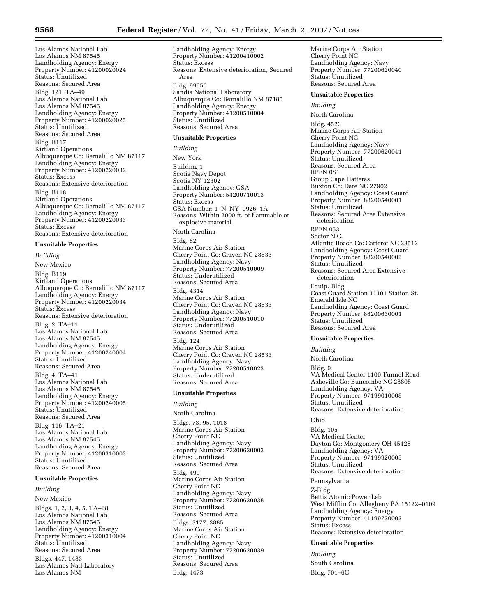Los Alamos National Lab Los Alamos NM 87545 Landholding Agency: Energy Property Number: 41200020024 Status: Unutilized Reasons: Secured Area Bldg. 121, TA–49 Los Alamos National Lab Los Alamos NM 87545 Landholding Agency: Energy Property Number: 41200020025 Status: Unutilized Reasons: Secured Area Bldg. B117 Kirtland Operations Albuquerque Co: Bernalillo NM 87117 Landholding Agency: Energy Property Number: 41200220032 Status: Excess Reasons: Extensive deterioration Bldg. B118 Kirtland Operations Albuquerque Co: Bernalillo NM 87117 Landholding Agency: Energy Property Number: 41200220033 Status: Excess Reasons: Extensive deterioration

## **Unsuitable Properties**

*Building*  New Mexico Bldg. B119 Kirtland Operations Albuquerque Co: Bernalillo NM 87117 Landholding Agency: Energy Property Number: 41200220034 Status: Excess Reasons: Extensive deterioration Bldg. 2, TA–11 Los Alamos National Lab Los Alamos NM 87545 Landholding Agency: Energy Property Number: 41200240004 Status: Unutilized Reasons: Secured Area Bldg. 4, TA–41 Los Alamos National Lab Los Alamos NM 87545 Landholding Agency: Energy Property Number: 41200240005 Status: Unutilized Reasons: Secured Area Bldg. 116, TA–21 Los Alamos National Lab Los Alamos NM 87545 Landholding Agency: Energy Property Number: 41200310003 Status: Unutilized Reasons: Secured Area

## **Unsuitable Properties**

*Building* 

New Mexico Bldgs. 1, 2, 3, 4, 5, TA–28 Los Alamos National Lab Los Alamos NM 87545 Landholding Agency: Energy Property Number: 41200310004 Status: Unutilized Reasons: Secured Area Bldgs. 447, 1483 Los Alamos Natl Laboratory Los Alamos NM

Landholding Agency: Energy Property Number: 41200410002 Status: Excess Reasons: Extensive deterioration, Secured Area Bldg. 99650 Sandia National Laboratory Albuquerque Co: Bernalillo NM 87185 Landholding Agency: Energy Property Number: 41200510004 Status: Unutilized Reasons: Secured Area

#### **Unsuitable Properties**

*Building*  New York Building 1 Scotia Navy Depot Scotia NY 12302 Landholding Agency: GSA Property Number: 54200710013 Status: Excess GSA Number: 1–N–NY–0926–1A Reasons: Within 2000 ft. of flammable or explosive material North Carolina Bldg. 82 Marine Corps Air Station Cherry Point Co: Craven NC 28533 Landholding Agency: Navy Property Number: 77200510009 Status: Underutilized Reasons: Secured Area Bldg. 4314 Marine Corps Air Station Cherry Point Co: Craven NC 28533 Landholding Agency: Navy Property Number: 77200510010 Status: Underutilized Reasons: Secured Area Bldg. 124 Marine Corps Air Station Cherry Point Co: Craven NC 28533 Landholding Agency: Navy Property Number: 77200510023 Status: Underutilized Reasons: Secured Area

#### **Unsuitable Properties**

*Building*  North Carolina Bldgs. 73, 95, 1018 Marine Corps Air Station Cherry Point NC Landholding Agency: Navy Property Number: 77200620003 Status: Unutilized Reasons: Secured Area Bldg. 499 Marine Corps Air Station Cherry Point NC Landholding Agency: Navy Property Number: 77200620038 Status: Unutilized Reasons: Secured Area Bldgs. 3177, 3885 Marine Corps Air Station Cherry Point NC Landholding Agency: Navy Property Number: 77200620039 Status: Unutilized Reasons: Secured Area Bldg. 4473

Marine Corps Air Station Cherry Point NC Landholding Agency: Navy Property Number: 77200620040 Status: Unutilized Reasons: Secured Area

## **Unsuitable Properties**

*Building* 

North Carolina Bldg. 4523 Marine Corps Air Station Cherry Point NC Landholding Agency: Navy Property Number: 77200620041 Status: Unutilized Reasons: Secured Area RPFN 0S1 Group Cape Hatteras Buxton Co: Dare NC 27902 Landholding Agency: Coast Guard Property Number: 88200540001 Status: Unutilized Reasons: Secured Area Extensive deterioration RPFN 053 Sector N.C. Atlantic Beach Co: Carteret NC 28512 Landholding Agency: Coast Guard Property Number: 88200540002 Status: Unutilized Reasons: Secured Area Extensive deterioration Equip. Bldg. Coast Guard Station 11101 Station St. Emerald Isle NC Landholding Agency: Coast Guard Property Number: 88200630001 Status: Unutilized Reasons: Secured Area

## **Unsuitable Properties**

*Building* 

North Carolina Bldg. 9 VA Medical Center 1100 Tunnel Road Asheville Co: Buncombe NC 28805 Landholding Agency: VA Property Number: 97199010008 Status: Unutilized Reasons: Extensive deterioration

#### Ohio

Bldg. 105 VA Medical Center Dayton Co: Montgomery OH 45428 Landholding Agency: VA Property Number: 97199920005 Status: Unutilized Reasons: Extensive deterioration Pennsylvania

Z-Bldg. Bettis Atomic Power Lab West Mifflin Co: Allegheny PA 15122–0109 Landholding Agency: Energy Property Number: 41199720002 Status: Excess Reasons: Extensive deterioration

## **Unsuitable Properties**

*Building*  South Carolina Bldg. 701–6G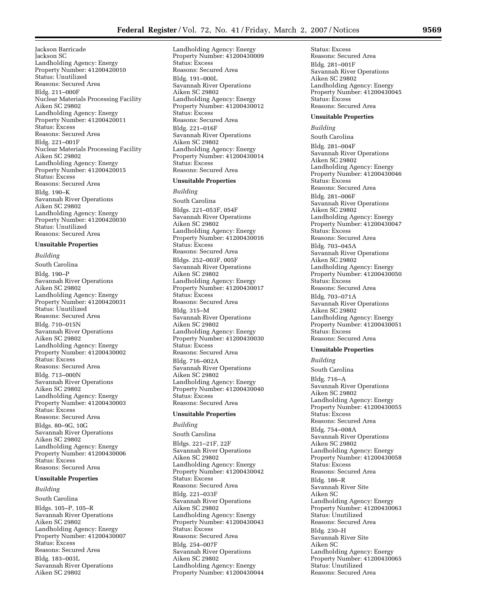Jackson Barricade Jackson SC Landholding Agency: Energy Property Number: 41200420010 Status: Unutilized Reasons: Secured Area Bldg. 211–000F Nuclear Materials Processing Facility Aiken SC 29802 Landholding Agency: Energy Property Number: 41200420011 Status: Excess Reasons: Secured Area Bldg. 221–001F Nuclear Materials Processing Facility Aiken SC 29802 Landholding Agency: Energy Property Number: 41200420015 Status: Excess Reasons: Secured Area Bldg. 190–K Savannah River Operations Aiken SC 29802 Landholding Agency: Energy Property Number: 41200420030 Status: Unutilized Reasons: Secured Area

## **Unsuitable Properties**

*Building*  South Carolina Bldg. 190–P Savannah River Operations Aiken SC 29802 Landholding Agency: Energy Property Number: 41200420031 Status: Unutilized Reasons: Secured Area Bldg. 710–015N Savannah River Operations Aiken SC 29802 Landholding Agency: Energy Property Number: 41200430002 Status: Excess Reasons: Secured Area Bldg. 713–000N Savannah River Operations Aiken SC 29802 Landholding Agency: Energy Property Number: 41200430003 Status: Excess Reasons: Secured Area Bldgs. 80–9G, 10G Savannah River Operations Aiken SC 29802 Landholding Agency: Energy Property Number: 41200430006 Status: Excess Reasons: Secured Area

## **Unsuitable Properties**

*Building* 

South Carolina Bldgs. 105–P, 105–R Savannah River Operations Aiken SC 29802 Landholding Agency: Energy Property Number: 41200430007 Status: Excess Reasons: Secured Area Bldg. 183–003L Savannah River Operations Aiken SC 29802

Landholding Agency: Energy Property Number: 41200430009 Status: Excess Reasons: Secured Area Bldg. 191–000L Savannah River Operations Aiken SC 29802 Landholding Agency: Energy Property Number: 41200430012 Status: Excess Reasons: Secured Area Bldg. 221–016F Savannah River Operations Aiken SC 29802 Landholding Agency: Energy Property Number: 41200430014 Status: Excess Reasons: Secured Area

### **Unsuitable Properties**

*Building*  South Carolina Bldgs. 221–053F, 054F Savannah River Operations Aiken SC 29802 Landholding Agency: Energy Property Number: 41200430016 Status: Excess Reasons: Secured Area Bldgs. 252–003F, 005F Savannah River Operations Aiken SC 29802 Landholding Agency: Energy Property Number: 41200430017 Status: Excess Reasons: Secured Area Bldg. 315–M Savannah River Operations Aiken SC 29802 Landholding Agency: Energy Property Number: 41200430030 Status: Excess Reasons: Secured Area Bldg. 716–002A Savannah River Operations Aiken SC 29802 Landholding Agency: Energy Property Number: 41200430040 Status: Excess Reasons: Secured Area

#### **Unsuitable Properties**

*Building* 

South Carolina

Bldgs. 221–21F, 22F Savannah River Operations Aiken SC 29802 Landholding Agency: Energy Property Number: 41200430042 Status: Excess Reasons: Secured Area Bldg. 221–033F Savannah River Operations Aiken SC 29802 Landholding Agency: Energy Property Number: 41200430043 Status: Excess Reasons: Secured Area Bldg. 254–007F Savannah River Operations Aiken SC 29802 Landholding Agency: Energy Property Number: 41200430044 Status: Excess Reasons: Secured Area Bldg. 281–001F Savannah River Operations Aiken SC 29802 Landholding Agency: Energy Property Number: 41200430045 Status: Excess Reasons: Secured Area

#### **Unsuitable Properties**

#### *Building*

South Carolina Bldg. 281–004F Savannah River Operations Aiken SC 29802 Landholding Agency: Energy Property Number: 41200430046 Status: Excess Reasons: Secured Area Bldg. 281–006F Savannah River Operations Aiken SC 29802 Landholding Agency: Energy Property Number: 41200430047 Status: Excess Reasons: Secured Area Bldg. 703–045A Savannah River Operations Aiken SC 29802 Landholding Agency: Energy Property Number: 41200430050 Status: Excess Reasons: Secured Area Bldg. 703–071A Savannah River Operations Aiken SC 29802 Landholding Agency: Energy Property Number: 41200430051 Status: Excess Reasons: Secured Area

## **Unsuitable Properties**

#### *Building*

South Carolina Bldg. 716–A Savannah River Operations Aiken SC 29802 Landholding Agency: Energy Property Number: 41200430055 Status: Excess Reasons: Secured Area Bldg. 754–008A Savannah River Operations Aiken SC 29802 Landholding Agency: Energy Property Number: 41200430058 Status: Excess Reasons: Secured Area Bldg. 186–R Savannah River Site Aiken SC Landholding Agency: Energy Property Number: 41200430063 Status: Unutilized Reasons: Secured Area Bldg. 230–H Savannah River Site Aiken SC Landholding Agency: Energy Property Number: 41200430065 Status: Unutilized Reasons: Secured Area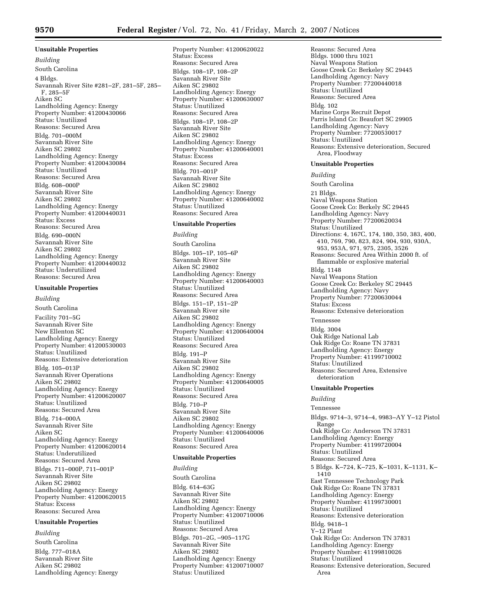## **Unsuitable Properties**

*Building*  South Carolina 4 Bldgs. Savannah River Site #281–2F, 281–5F, 285– F, 285–5F Aiken SC Landholding Agency: Energy Property Number: 41200430066 Status: Unutilized Reasons: Secured Area Bldg. 701–000M Savannah River Site Aiken SC 29802 Landholding Agency: Energy Property Number: 41200430084 Status: Unutilized Reasons: Secured Area Bldg. 608–000P Savannah River Site Aiken SC 29802 Landholding Agency: Energy Property Number: 41200440031 Status: Excess Reasons: Secured Area Bldg. 690–000N Savannah River Site Aiken SC 29802 Landholding Agency: Energy Property Number: 41200440032 Status: Underutilized Reasons: Secured Area

### **Unsuitable Properties**

*Building* 

South Carolina Facility 701–5G Savannah River Site New Ellenton SC Landholding Agency: Energy Property Number: 41200530003 Status: Unutilized Reasons: Extensive deterioration Bldg. 105–013P Savannah River Operations Aiken SC 29802 Landholding Agency: Energy Property Number: 41200620007 Status: Unutilized Reasons: Secured Area Bldg. 714–000A Savannah River Site Aiken SC Landholding Agency: Energy Property Number: 41200620014 Status: Underutilized Reasons: Secured Area Bldgs. 711–000P, 711–001P Savannah River Site Aiken SC 29802 Landholding Agency: Energy Property Number: 41200620015 Status: Excess Reasons: Secured Area

#### **Unsuitable Properties**

*Building* 

South Carolina Bldg. 777–018A Savannah River Site Aiken SC 29802 Landholding Agency: Energy

Property Number: 41200620022 Status: Excess Reasons: Secured Area Bldgs. 108–1P, 108–2P Savannah River Site Aiken SC 29802 Landholding Agency: Energy Property Number: 41200630007 Status: Unutilized Reasons: Secured Area Bldgs. 108–1P, 108–2P Savannah River Site Aiken SC 29802 Landholding Agency: Energy Property Number: 41200640001 Status: Excess Reasons: Secured Area Bldg. 701–001P Savannah River Site Aiken SC 29802 Landholding Agency: Energy Property Number: 41200640002 Status: Unutilized Reasons: Secured Area

### **Unsuitable Properties**

*Building* 

South Carolina Bldgs. 105–1P, 105–6P Savannah River Site Aiken SC 29802 Landholding Agency: Energy Property Number: 41200640003 Status: Unutilized Reasons: Secured Area Bldgs. 151–1P, 151–2P Savannah River site Aiken SC 29802 Landholding Agency: Energy Property Number: 41200640004 Status: Unutilized Reasons: Secured Area Bldg. 191–P Savannah River Site Aiken SC 29802 Landholding Agency: Energy Property Number: 41200640005 Status: Unutilized Reasons: Secured Area Bldg. 710–P Savannah River Site Aiken SC 29802 Landholding Agency: Energy Property Number: 41200640006 Status: Unutilized Reasons: Secured Area

#### **Unsuitable Properties**

*Building*  South Carolina Bldg. 614–63G Savannah River Site Aiken SC 29802 Landholding Agency: Energy Property Number: 41200710006 Status: Unutilized Reasons: Secured Area Bldgs. 701–2G, –905–117G Savannah River Site Aiken SC 29802 Landholding Agency: Energy Property Number: 41200710007 Status: Unutilized

Reasons: Secured Area Bldgs. 1000 thru 1021 Naval Weapons Station Goose Creek Co: Berkeley SC 29445 Landholding Agency: Navy Property Number: 77200440018 Status: Unutilized Reasons: Secured Area Bldg. 102 Marine Corps Recruit Depot Parris Island Co: Beaufort SC 29905 Landholding Agency: Navy Property Number: 77200530017 Status: Unutilized Reasons: Extensive deterioration, Secured Area, Floodway

#### **Unsuitable Properties**

*Building* 

South Carolina

21 Bldgs.

Naval Weapons Station Goose Creek Co: Berkely SC 29445 Landholding Agency: Navy Property Number: 77200620034 Status: Unutilized Directions: 4, 167C, 174, 180, 350, 383, 400, 410, 769, 790, 823, 824, 904, 930, 930A, 953, 953A, 971, 975, 2305, 3526 Reasons: Secured Area Within 2000 ft. of flammable or explosive material Bldg. 1148 Naval Weapons Station Goose Creek Co: Berkeley SC 29445 Landholding Agency: Navy Property Number: 77200630044 Status: Excess Reasons: Extensive deterioration Tennessee Bldg. 3004 Oak Ridge National Lab Oak Ridge Co: Roane TN 37831

Landholding Agency: Energy Property Number: 41199710002 Status: Unutilized Reasons: Secured Area, Extensive deterioration

## **Unsuitable Properties**

*Building* 

Tennessee

Bldgs. 9714–3, 9714–4, 9983–AY Y–12 Pistol Range Oak Ridge Co: Anderson TN 37831 Landholding Agency: Energy Property Number: 41199720004 Status: Unutilized Reasons: Secured Area 5 Bldgs. K–724, K–725, K–1031, K–1131, K– 1410 East Tennessee Technology Park Oak Ridge Co: Roane TN 37831 Landholding Agency: Energy Property Number: 41199730001 Status: Unutilized Reasons: Extensive deterioration Bldg. 9418–1 Y–12 Plant Oak Ridge Co: Anderson TN 37831 Landholding Agency: Energy Property Number: 41199810026 Status: Unutilized Reasons: Extensive deterioration, Secured Area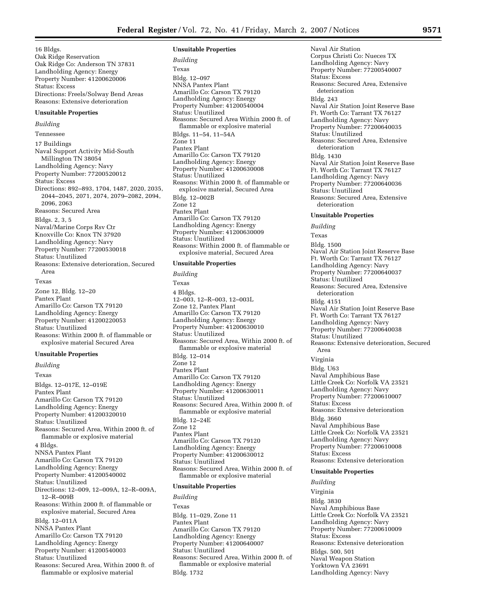16 Bldgs. Oak Ridge Reservation Oak Ridge Co: Anderson TN 37831 Landholding Agency: Energy Property Number: 41200620006 Status: Excess Directions: Freels/Solway Bend Areas Reasons: Extensive deterioration

#### **Unsuitable Properties**

#### *Building*

Tennessee 17 Buildings Naval Support Activity Mid-South Millington TN 38054 Landholding Agency: Navy Property Number: 77200520012 Status: Excess Directions: 892–893, 1704, 1487, 2020, 2035, 2044–2045, 2071, 2074, 2079–2082, 2094, 2096, 2063 Reasons: Secured Area Bldgs. 2, 3, 5 Naval/Marine Corps Rsv Ctr Knoxville Co: Knox TN 37920 Landholding Agency: Navy Property Number: 77200530018 Status: Unutilized Reasons: Extensive deterioration, Secured Area Texas

Zone 12, Bldg. 12–20 Pantex Plant Amarillo Co: Carson TX 79120 Landholding Agency: Energy Property Number: 41200220053 Status: Unutilized Reasons: Within 2000 ft. of flammable or explosive material Secured Area

#### **Unsuitable Properties**

*Building*  Texas Bldgs. 12–017E, 12–019E Pantex Plant Amarillo Co: Carson TX 79120 Landholding Agency: Energy Property Number: 41200320010 Status: Unutilized Reasons: Secured Area, Within 2000 ft. of flammable or explosive material 4 Bldgs. NNSA Pantex Plant Amarillo Co: Carson TX 79120 Landholding Agency: Energy Property Number: 41200540002 Status: Unutilized Directions: 12–009, 12–009A, 12–R–009A, 12–R–009B Reasons: Within 2000 ft. of flammable or explosive material, Secured Area Bldg. 12–011A NNSA Pantex Plant Amarillo Co: Carson TX 79120 Landholding Agency: Energy Property Number: 41200540003 Status: Unutilized Reasons: Secured Area, Within 2000 ft. of flammable or explosive material

#### **Unsuitable Properties**

*Building*  Texas Bldg. 12–097 NNSA Pantex Plant Amarillo Co: Carson TX 79120 Landholding Agency: Energy Property Number: 41200540004 Status: Unutilized Reasons: Secured Area Within 2000 ft. of flammable or explosive material Bldgs. 11–54, 11–54A Zone 11 Pantex Plant Amarillo Co: Carson TX 79120 Landholding Agency: Energy Property Number: 41200630008 Status: Unutilized Reasons: Within 2000 ft. of flammable or explosive material, Secured Area Bldg. 12–002B Zone 12 Pantex Plant Amarillo Co: Carson TX 79120 Landholding Agency: Energy Property Number: 41200630009 Status: Unutilized Reasons: Within 2000 ft. of flammable or explosive material, Secured Area

#### **Unsuitable Properties**

*Building* 

Texas 4 Bldgs. 12–003, 12–R–003, 12–003L Zone 12, Pantex Plant Amarillo Co: Carson TX 79120 Landholding Agency: Energy Property Number: 41200630010 Status: Unutilized Reasons: Secured Area, Within 2000 ft. of flammable or explosive material Bldg. 12–014 Zone 12 Pantex Plant Amarillo Co: Carson TX 79120 Landholding Agency: Energy Property Number: 41200630011 Status: Unutilized Reasons: Secured Area, Within 2000 ft. of flammable or explosive material Bldg. 12–24E Zone 12 Pantex Plant Amarillo Co: Carson TX 79120 Landholding Agency: Energy Property Number: 41200630012 Status: Unutilized Reasons: Secured Area, Within 2000 ft. of flammable or explosive material

#### **Unsuitable Properties**

*Building*  Texas Bldg. 11–029, Zone 11 Pantex Plant Amarillo Co: Carson TX 79120 Landholding Agency: Energy Property Number: 41200640007 Status: Unutilized Reasons: Secured Area, Within 2000 ft. of flammable or explosive material Bldg. 1732

Corpus Christi Co: Nueces TX Landholding Agency: Navy Property Number: 77200540007 Status: Excess Reasons: Secured Area, Extensive deterioration Bldg. 243 Naval Air Station Joint Reserve Base Ft. Worth Co: Tarrant TX 76127 Landholding Agency: Navy Property Number: 77200640035 Status: Unutilized Reasons: Secured Area, Extensive deterioration Bldg. 1430 Naval Air Station Joint Reserve Base Ft. Worth Co: Tarrant TX 76127 Landholding Agency: Navy Property Number: 77200640036 Status: Unutilized Reasons: Secured Area, Extensive deterioration

#### **Unsuitable Properties**

Naval Air Station

*Building* 

Texas

Bldg. 1500 Naval Air Station Joint Reserve Base Ft. Worth Co: Tarrant TX 76127 Landholding Agency: Navy Property Number: 77200640037 Status: Unutilized Reasons: Secured Area, Extensive deterioration Bldg. 4151 Naval Air Station Joint Reserve Base Ft. Worth Co: Tarrant TX 76127 Landholding Agency: Navy Property Number: 77200640038 Status: Unutilized Reasons: Extensive deterioration, Secured Area Virginia Bldg. U63 Naval Amphibious Base Little Creek Co: Norfolk VA 23521 Landholding Agency: Navy Property Number: 77200610007 Status: Excess Reasons: Extensive deterioration Bldg. 3660 Naval Amphibious Base Little Creek Co: Norfolk VA 23521 Landholding Agency: Navy Property Number: 77200610008 Status: Excess Reasons: Extensive deterioration **Unsuitable Properties** 

*Building* 

Virginia Bldg. 3830 Naval Amphibious Base Little Creek Co: Norfolk VA 23521 Landholding Agency: Navy Property Number: 77200610009 Status: Excess Reasons: Extensive deterioration Bldgs. 500, 501 Naval Weapon Station Yorktown VA 23691 Landholding Agency: Navy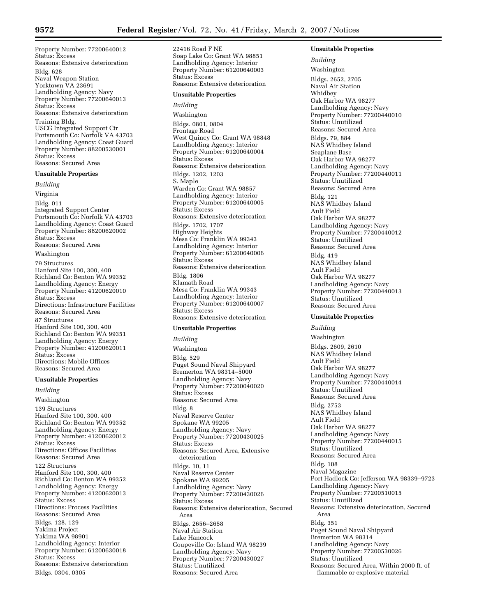22416 Road F NE

Property Number: 77200640012 Status: Excess Reasons: Extensive deterioration Bldg. 628 Naval Weapon Station Yorktown VA 23691 Landholding Agency: Navy Property Number: 77200640013 Status: Excess Reasons: Extensive deterioration Training Bldg. USCG Integrated Support Ctr Portsmouth Co: Norfolk VA 43703 Landholding Agency: Coast Guard Property Number: 88200530001 Status: Excess Reasons: Secured Area

## **Unsuitable Properties**

*Building* 

Virginia Bldg. 011 Integrated Support Center Portsmouth Co: Norfolk VA 43703 Landholding Agency: Coast Guard Property Number: 88200620002 Status: Excess Reasons: Secured Area

Washington

79 Structures

Hanford Site 100, 300, 400 Richland Co: Benton WA 99352 Landholding Agency: Energy Property Number: 41200620010 Status: Excess Directions: Infrastructure Facilities Reasons: Secured Area

87 Structures Hanford Site 100, 300, 400 Richland Co: Benton WA 99351 Landholding Agency: Energy Property Number: 41200620011 Status: Excess Directions: Mobile Offices Reasons: Secured Area

## **Unsuitable Properties**

*Building*  Washington 139 Structures Hanford Site 100, 300, 400 Richland Co: Benton WA 99352 Landholding Agency: Energy Property Number: 41200620012 Status: Excess Directions: Offices Facilities Reasons: Secured Area 122 Structures Hanford Site 100, 300, 400 Richland Co: Benton WA 99352 Landholding Agency: Energy Property Number: 41200620013 Status: Excess Directions: Process Facilities Reasons: Secured Area Bldgs. 128, 129 Yakima Project Yakima WA 98901 Landholding Agency: Interior Property Number: 61200630018 Status: Excess Reasons: Extensive deterioration Bldgs. 0304, 0305

Soap Lake Co: Grant WA 98851 Landholding Agency: Interior Property Number: 61200640003 Status: Excess Reasons: Extensive deterioration **Unsuitable Properties**  *Building*  Washington Bldgs. 0801, 0804 Frontage Road West Quincy Co: Grant WA 98848 Landholding Agency: Interior Property Number: 61200640004 Status: Excess Reasons: Extensive deterioration Bldgs. 1202, 1203 S. Maple Warden Co: Grant WA 98857 Landholding Agency: Interior Property Number: 61200640005 Status: Excess Reasons: Extensive deterioration Bldgs. 1702, 1707 Highway Heights Mesa Co: Franklin WA 99343 Landholding Agency: Interior Property Number: 61200640006 Status: Excess Reasons: Extensive deterioration Bldg. 1806 Klamath Road Mesa Co: Franklin WA 99343 Landholding Agency: Interior Property Number: 61200640007 Status: Excess Reasons: Extensive deterioration

## **Unsuitable Properties**

*Building*  Washington Bldg. 529 Puget Sound Naval Shipyard Bremerton WA 98314–5000 Landholding Agency: Navy Property Number: 77200040020 Status: Excess Reasons: Secured Area Bldg. 8 Naval Reserve Center Spokane WA 99205 Landholding Agency: Navy Property Number: 77200430025 Status: Excess Reasons: Secured Area, Extensive deterioration Bldgs. 10, 11 Naval Reserve Center Spokane WA 99205 Landholding Agency: Navy Property Number: 77200430026 Status: Excess Reasons: Extensive deterioration, Secured Area Bldgs. 2656–2658 Naval Air Station Lake Hancock Coupeville Co: Island WA 98239 Landholding Agency: Navy Property Number: 77200430027 Status: Unutilized Reasons: Secured Area

*Building*  Washington Bldgs. 2652, 2705 Naval Air Station **Whidhey** Oak Harbor WA 98277 Landholding Agency: Navy Property Number: 77200440010 Status: Unutilized Reasons: Secured Area Bldgs. 79, 884 NAS Whidbey Island Seaplane Base Oak Harbor WA 98277 Landholding Agency: Navy Property Number: 77200440011 Status: Unutilized Reasons: Secured Area Bldg. 121 NAS Whidbey Island Ault Field Oak Harbor WA 98277 Landholding Agency: Navy Property Number: 77200440012 Status: Unutilized Reasons: Secured Area Bldg. 419 NAS Whidbey Island Ault Field Oak Harbor WA 98277 Landholding Agency: Navy Property Number: 77200440013 Status: Unutilized Reasons: Secured Area

**Unsuitable Properties** 

## **Unsuitable Properties**

*Building*  Washington Bldgs. 2609, 2610 NAS Whidbey Island Ault Field Oak Harbor WA 98277 Landholding Agency: Navy Property Number: 77200440014 Status: Unutilized Reasons: Secured Area Bldg. 2753 NAS Whidbey Island Ault Field Oak Harbor WA 98277 Landholding Agency: Navy Property Number: 77200440015 Status: Unutilized Reasons: Secured Area Bldg. 108 Naval Magazine Port Hadlock Co: Jefferson WA 98339–9723 Landholding Agency: Navy Property Number: 77200510015 Status: Unutilized Reasons: Extensive deterioration, Secured Area Bldg. 351 Puget Sound Naval Shipyard Bremerton WA 98314 Landholding Agency: Navy Property Number: 77200530026 Status: Unutilized Reasons: Secured Area, Within 2000 ft. of flammable or explosive material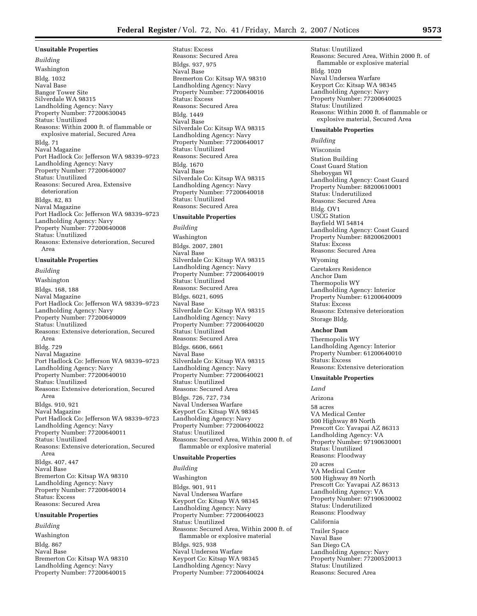## **Unsuitable Properties**

*Building*  Washington Bldg. 1032 Naval Base Bangor Tower Site Silverdale WA 98315 Landholding Agency: Navy Property Number: 77200630045 Status: Unutilized Reasons: Within 2000 ft. of flammable or explosive material, Secured Area Bldg. 71 Naval Magazine Port Hadlock Co: Jefferson WA 98339–9723 Landholding Agency: Navy Property Number: 77200640007 Status: Unutilized Reasons: Secured Area, Extensive deterioration Bldgs. 82, 83 Naval Magazine Port Hadlock Co: Jefferson WA 98339–9723 Landholding Agency: Navy Property Number: 77200640008 Status: Unutilized Reasons: Extensive deterioration, Secured Area

#### **Unsuitable Properties**

*Building*  Washington Bldgs. 168, 188 Naval Magazine Port Hadlock Co: Jefferson WA 98339–9723 Landholding Agency: Navy Property Number: 77200640009 Status: Unutilized Reasons: Extensive deterioration, Secured Area Bldg. 729 Naval Magazine Port Hadlock Co: Jefferson WA 98339–9723 Landholding Agency: Navy Property Number: 77200640010 Status: Unutilized Reasons: Extensive deterioration, Secured Area Bldgs. 910, 921 Naval Magazine Port Hadlock Co: Jefferson WA 98339–9723 Landholding Agency: Navy Property Number: 77200640011 Status: Unutilized Reasons: Extensive deterioration, Secured Area Bldgs. 407, 447 Naval Base Bremerton Co: Kitsap WA 98310 Landholding Agency: Navy Property Number: 77200640014 Status: Excess

# Reasons: Secured Area

## **Unsuitable Properties**

*Building*  Washington Bldg. 867 Naval Base Bremerton Co: Kitsap WA 98310 Landholding Agency: Navy Property Number: 77200640015

Status: Excess Reasons: Secured Area Bldgs. 937, 975 Naval Base Bremerton Co: Kitsap WA 98310 Landholding Agency: Navy Property Number: 77200640016 Status: Excess Reasons: Secured Area Bldg. 1449 Naval Base Silverdale Co: Kitsap WA 98315 Landholding Agency: Navy Property Number: 77200640017 Status: Unutilized Reasons: Secured Area Bldg. 1670 Naval Base Silverdale Co: Kitsap WA 98315 Landholding Agency: Navy Property Number: 77200640018 Status: Unutilized Reasons: Secured Area

## **Unsuitable Properties**

*Building*  Washington Bldgs. 2007, 2801 Naval Base Silverdale Co: Kitsap WA 98315 Landholding Agency: Navy Property Number: 77200640019 Status: Unutilized Reasons: Secured Area Bldgs. 6021, 6095 Naval Base Silverdale Co: Kitsap WA 98315 Landholding Agency: Navy Property Number: 77200640020 Status: Unutilized Reasons: Secured Area Bldgs. 6606, 6661 Naval Base Silverdale Co: Kitsap WA 98315 Landholding Agency: Navy Property Number: 77200640021 Status: Unutilized Reasons: Secured Area Bldgs. 726, 727, 734 Naval Undersea Warfare Keyport Co: Kitsap WA 98345 Landholding Agency: Navy Property Number: 77200640022 Status: Unutilized Reasons: Secured Area, Within 2000 ft. of flammable or explosive material

#### **Unsuitable Properties**

*Building* 

Washington Bldgs. 901, 911 Naval Undersea Warfare Keyport Co: Kitsap WA 98345 Landholding Agency: Navy Property Number: 77200640023 Status: Unutilized Reasons: Secured Area, Within 2000 ft. of flammable or explosive material Bldgs. 925, 938 Naval Undersea Warfare Keyport Co: Kitsap WA 98345 Landholding Agency: Navy Property Number: 77200640024

Status: Unutilized Reasons: Secured Area, Within 2000 ft. of flammable or explosive material Bldg. 1020 Naval Undersea Warfare Keyport Co: Kitsap WA 98345 Landholding Agency: Navy Property Number: 77200640025 Status: Unutilized Reasons: Within 2000 ft. of flammable or explosive material, Secured Area

#### **Unsuitable Properties**

*Building* 

Wisconsin Station Building Coast Guard Station Sheboygan WI Landholding Agency: Coast Guard Property Number: 88200610001 Status: Underutilized Reasons: Secured Area Bldg. OV1 USCG Station Bayfield WI 54814 Landholding Agency: Coast Guard Property Number: 88200620001 Status: Excess Reasons: Secured Area Wyoming Caretakers Residence Anchor Dam Thermopolis WY Landholding Agency: Interior

Property Number: 61200640009 Status: Excess Reasons: Extensive deterioration Storage Bldg.

## **Anchor Dam**

Thermopolis WY Landholding Agency: Interior Property Number: 61200640010 Status: Excess Reasons: Extensive deterioration

#### **Unsuitable Properties**

*Land* 

#### Arizona

58 acres VA Medical Center 500 Highway 89 North Prescott Co: Yavapai AZ 86313 Landholding Agency: VA Property Number: 97190630001 Status: Unutilized Reasons: Floodway 20 acres VA Medical Center 500 Highway 89 North Prescott Co: Yavapai AZ 86313 Landholding Agency: VA Property Number: 97190630002 Status: Underutilized Reasons: Floodway California Trailer Space

Naval Base San Diego CA Landholding Agency: Navy Property Number: 77200520013 Status: Unutilized Reasons: Secured Area